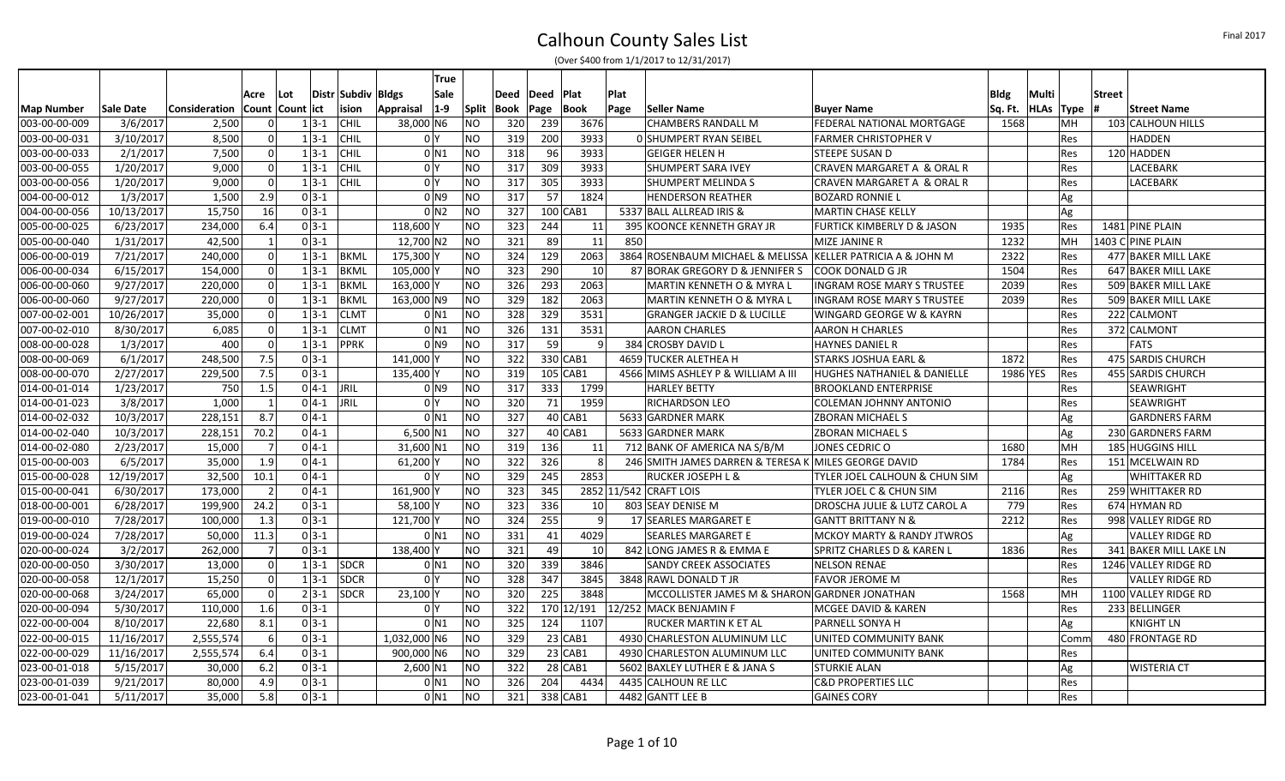|                   |            |               |                |                     |                |              | True                |                |      |             |                 |      |                                                      |                                       |             |             |            |               |                        |
|-------------------|------------|---------------|----------------|---------------------|----------------|--------------|---------------------|----------------|------|-------------|-----------------|------|------------------------------------------------------|---------------------------------------|-------------|-------------|------------|---------------|------------------------|
|                   |            |               | Acre           | l Lot               | Distr   Subdiv | <b>Bldgs</b> | <b>Sale</b>         |                | Deed | <b>Deed</b> | <b>Plat</b>     | Plat |                                                      |                                       | <b>Bldg</b> | Multi       |            | <b>Street</b> |                        |
| <b>Map Number</b> | Sale Date  | Consideration |                | Count   Count   ict | ision          | Appraisal    | $ 1-9 $             | Split          | Book | Page        | Book            | Page | Seller Name                                          | <b>Buyer Name</b>                     | Sq. Ft.     | <b>HLAs</b> | Type       |               | <b>Street Name</b>     |
| 003-00-00-009     | 3/6/2017   | 2,500         | 0              | $1 3-1 $            | <b>CHIL</b>    | 38,000 N6    |                     | NΟ             | 320  | 239         | 3676            |      | <b>CHAMBERS RANDALL M</b>                            | FEDERAL NATIONAL MORTGAGE             | 1568        |             | MH         |               | 103 CALHOUN HILLS      |
| 003-00-00-031     | 3/10/2017  | 8,500         | 0              | $1 3-1 $            | <b>CHIL</b>    |              | 0 <sup>1</sup>      | NO             | 319  | 200         | 3933            |      | O SHUMPERT RYAN SEIBEL                               | <b>FARMER CHRISTOPHER V</b>           |             |             | Res        |               | <b>HADDEN</b>          |
| 003-00-00-033     | 2/1/2017   | 7,500         | $\Omega$       | $1 3-1 $            | <b>CHIL</b>    |              | $0$ N1              | <b>NO</b>      | 318  | 96          | 3933            |      | <b>GEIGER HELEN H</b>                                | STEEPE SUSAN D                        |             |             | Res        |               | 120 HADDEN             |
| 003-00-00-055     | 1/20/2017  | 9,000         | -ol            | $1 3-1 $            | <b>CHIL</b>    |              | 0 <sup>1</sup>      | NO             | 317  | 309         | 3933            |      | SHUMPERT SARA IVEY                                   | CRAVEN MARGARET A & ORAL R            |             |             | Res        |               | LACEBARK               |
| 003-00-00-056     | 1/20/2017  | 9,000         | 0              | $1 3-1 $            | <b>CHIL</b>    |              | 0 <sup>1</sup>      | <b>NO</b>      | 317  | 305         | 3933            |      | SHUMPERT MELINDA S                                   | CRAVEN MARGARET A & ORAL R            |             |             | Res        |               | LACEBARK               |
| 004-00-00-012     | 1/3/2017   | 1,500         | 2.9            | $0 3-1$             |                |              | 0 <sub>1</sub>      | NO             | 317  | 57          | 1824            |      | <b>HENDERSON REATHER</b>                             | <b>BOZARD RONNIE L</b>                |             | Ag          |            |               |                        |
| 004-00-00-056     | 10/13/2017 | 15,750        | 16             | $0 3-1$             |                |              | 0 <sub>N2</sub>     | <b>NO</b>      | 327  | $100$ CAB1  |                 |      | 5337 BALL ALLREAD IRIS &                             | <b>MARTIN CHASE KELLY</b>             |             | Ag          |            |               |                        |
| 005-00-00-025     | 6/23/2017  | 234,000       | 6.4            | $0 3-1 $            |                | 118,600 Y    |                     | NO             | 323  | 244         | 11              |      | 395 KOONCE KENNETH GRAY JR                           | <b>FURTICK KIMBERLY D &amp; JASON</b> | 1935        |             | Res        |               | 1481 PINE PLAIN        |
| 005-00-00-040     | 1/31/2017  | 42,500        | $\vert$ 1      | $0 3-1$             |                | 12,700 N2    |                     | NO             | 321  | 89          | 11              | 850  |                                                      | MIZE JANINE R                         | 1232        |             | MH         |               | 1403 C PINE PLAIN      |
| 006-00-00-019     | 7/21/2017  | 240,000       | 0              | $1 3-1 $            | <b>BKML</b>    | 175,300 Y    |                     | NO             | 324  | 129         | 2063            |      | 3864 ROSENBAUM MICHAEL & MELISSA                     | <b>KELLER PATRICIA A &amp; JOHN M</b> | 2322        |             | <b>Res</b> |               | 477 BAKER MILL LAKE    |
| 006-00-00-034     | 6/15/2017  | 154,000       | 0              | $1 3-1 $            | <b>BKML</b>    | 105,000 Y    |                     | NO             | 323  | 290         | -10             |      | 87 BORAK GREGORY D & JENNIFER S                      | <b>COOK DONALD G JR</b>               | 1504        |             | <b>Res</b> |               | 647 BAKER MILL LAKE    |
| 006-00-00-060     | 9/27/2017  | 220,000       | -ol            | $1 3-1 $            | <b>BKML</b>    | 163,000 Y    |                     | <b>NO</b>      | 326  | 293         | 2063            |      | MARTIN KENNETH O & MYRA L                            | <b>INGRAM ROSE MARY S TRUSTEE</b>     | 2039        |             | <b>Res</b> |               | 509 BAKER MILL LAKE    |
| 006-00-00-060     | 9/27/2017  | 220,000       | 0              | $1 3-1 $            | <b>BKML</b>    | 163,000 N9   |                     | NO             | 329  | 182         | 2063            |      | MARTIN KENNETH O & MYRA L                            | <b>INGRAM ROSE MARY S TRUSTEE</b>     | 2039        |             | Res        |               | 509 BAKER MILL LAKE    |
| 007-00-02-001     | 10/26/2017 | 35,000        | 0              | $1 3-1 $            | <b>CLMT</b>    |              | $0$ <sub>N1</sub>   | <b>NO</b>      | 328  | 329         | 3531            |      | <b>GRANGER JACKIE D &amp; LUCILLE</b>                | WINGARD GEORGE W & KAYRN              |             |             | Res        |               | 222 CALMONT            |
| 007-00-02-010     | 8/30/2017  | 6,085         | 0              | $1 3-1 $            | <b>CLMT</b>    |              | $0$ N <sub>1</sub>  | NO             | 326  | 131         | 3531            |      | <b>AARON CHARLES</b>                                 | <b>AARON H CHARLES</b>                |             |             | <b>Res</b> |               | 372 CALMONT            |
| 008-00-00-028     | 1/3/2017   | 400           | $\Omega$       | $1 3-1 $            | <b>PPRK</b>    |              | $01$ N <sub>9</sub> | <b>NO</b>      | 317  | 59          |                 |      | 384 CROSBY DAVID L                                   | <b>HAYNES DANIEL R</b>                |             |             | <b>Res</b> |               | <b>FATS</b>            |
| 008-00-00-069     | 6/1/2017   | 248,500       | 7.5            | $0 3-1 $            |                | 141,000 Y    |                     | NO             | 322  | 330 CAB1    |                 |      | 4659 TUCKER ALETHEA H                                | STARKS JOSHUA EARL &                  | 1872        |             | Res        |               | 475 SARDIS CHURCH      |
| 008-00-00-070     | 2/27/2017  | 229,500       | 7.5            | $0 3-1$             |                | 135,400 Y    |                     | NO             | 319  | $105$ CAB1  |                 |      | 4566 MIMS ASHLEY P & WILLIAM A III                   | HUGHES NATHANIEL & DANIELLE           | 1986 YES    |             | Res        |               | 455 SARDIS CHURCH      |
| 014-00-01-014     | 1/23/2017  | 750           | 1.5            | $0 4-1 $ JRIL       |                |              | $01$ N <sub>9</sub> | NO             | 317  | 333         | 1799            |      | <b>HARLEY BETTY</b>                                  | <b>BROOKLAND ENTERPRISE</b>           |             |             | Res        |               | <b>SEAWRIGHT</b>       |
| 014-00-01-023     | 3/8/2017   | 1.000         | $\vert$ 1      | $0 4-1 $            | JRIL           |              | 0 <sup>1</sup>      | NO             | 320  | 71          | 1959            |      | <b>RICHARDSON LEO</b>                                | COLEMAN JOHNNY ANTONIO                |             |             | Res        |               | <b>SEAWRIGHT</b>       |
| 014-00-02-032     | 10/3/2017  | 228,151       | 8.7            | $0 4-1$             |                |              | $0$ <sub>N1</sub>   | N <sub>O</sub> | 327  |             | 40 CAB1         |      | 5633 GARDNER MARK                                    | IZBORAN MICHAEL S                     |             | Ag          |            |               | GARDNERS FARM          |
| 014-00-02-040     | 10/3/2017  | 228,151       | 70.2           | $0 4-1$             |                | 6.500 N1     |                     | NO             | 327  |             | 40 CAB1         |      | 5633 GARDNER MARK                                    | <b>ZBORAN MICHAEL S</b>               |             | Ag          |            |               | 230 GARDNERS FARM      |
| 014-00-02-080     | 2/23/2017  | 15,000        | $\overline{7}$ | $0 4-1 $            |                | 31,600 N1    |                     | NO             | 319  | 136         | -11             |      | 712 BANK OF AMERICA NA S/B/M                         | JONES CEDRIC O                        | 1680        |             | MH         |               | 185 HUGGINS HILL       |
| 015-00-00-003     | 6/5/2017   | 35,000        | 1.9            | $0 4-1 $            |                | 61,200 Y     |                     | NΟ             | 322  | 326         | -8              |      | 246 SMITH JAMES DARREN & TERESA K MILES GEORGE DAVID |                                       | 1784        |             | Res        |               | 151 MCELWAIN RD        |
| 015-00-00-028     | 12/19/2017 | 32,500        | 10.1           | $0 4-1$             |                |              | 0 <sup>1</sup>      | <b>NO</b>      | 329  | 245         | 2853            |      | <b>RUCKER JOSEPH L &amp;</b>                         | TYLER JOEL CALHOUN & CHUN SIM         |             | Ag          |            |               | <b>WHITTAKER RD</b>    |
| 015-00-00-041     | 6/30/2017  | 173,000       | $\overline{2}$ | $0 4-1 $            |                | 161,900      |                     | NO             | 323  | 345         |                 |      | 2852 11/542 CRAFT LOIS                               | TYLER JOEL C & CHUN SIM               | 2116        |             | Res        |               | 259 WHITTAKER RD       |
| 018-00-00-001     | 6/28/2017  | 199,900       | 24.2           | $0 3-1 $            |                | 58,100       |                     | <b>NO</b>      | 323  | 336         | 10 <sup>1</sup> |      | 803 SEAY DENISE M                                    | DROSCHA JULIE & LUTZ CAROL A          | 779         |             | Res        |               | 674 HYMAN RD           |
| 019-00-00-010     | 7/28/2017  | 100,000       | 1.3            | $0 3-1$             |                | 121,700 Y    |                     | NO             | 324  | 255         | -9              |      | 17 SEARLES MARGARET E                                | <b>GANTT BRITTANY N &amp;</b>         | 2212        |             | Res        |               | 998 VALLEY RIDGE RD    |
| 019-00-00-024     | 7/28/2017  | 50,000        | 11.3           | $0 3-1$             |                |              | $0$ N1              | <b>NO</b>      | 331  | 41          | 4029            |      | <b>SEARLES MARGARET E</b>                            | <b>MCKOY MARTY &amp; RANDY JTWROS</b> |             | Ag          |            |               | <b>VALLEY RIDGE RD</b> |
| 020-00-00-024     | 3/2/2017   | 262,000       | 7              | $0 3-1 $            |                | 138,400 Y    |                     | NO             | 321  | 49          | 10              |      | 842 LONG JAMES R & EMMA E                            | SPRITZ CHARLES D & KAREN L            | 1836        |             | Res        |               | 341 BAKER MILL LAKE LN |
| 020-00-00-050     | 3/30/2017  | 13,000        | -ol            |                     | $1 3-1 $ SDCR  |              | $0$ <sub>N1</sub>   | <b>NO</b>      | 320  | 339         | 3846            |      | SANDY CREEK ASSOCIATES                               | <b>NELSON RENAE</b>                   |             |             | Res        |               | 1246 VALLEY RIDGE RD   |
| 020-00-00-058     | 12/1/2017  | 15,250        | 0              | $1 3-1 $            | SDCR           |              | 0 <sup>Y</sup>      | NO             | 328  | 347         | 3845            |      | 3848 RAWL DONALD T JR                                | <b>FAVOR JEROME M</b>                 |             |             | Res        |               | VALLEY RIDGE RD        |
| 020-00-00-068     | 3/24/2017  | 65,000        | $\Omega$       | $2 3-1 $            | <b>SDCR</b>    | $23,100$ Y   |                     | NO             | 320  | 225         | 3848            |      | MCCOLLISTER JAMES M & SHARON GARDNER JONATHAN        |                                       | 1568        |             | MH         |               | 1100 VALLEY RIDGE RD   |
| 020-00-00-094     | 5/30/2017  | 110,000       | 1.6            | $0 3-1$             |                |              | 0 <sup>1</sup>      | <b>NO</b>      | 322  |             | 170 12/191      |      | 12/252 MACK BENJAMIN F                               | MCGEE DAVID & KAREN                   |             |             | Res        |               | 233 BELLINGER          |
| 022-00-00-004     | 8/10/2017  | 22,680        | 8.1            | $0 3-1$             |                |              | $0$ <sub>N1</sub>   | <b>NO</b>      | 325  | 124         | 1107            |      | RUCKER MARTIN K ET AL                                | PARNELL SONYA H                       |             |             | Ag         |               | <b>KNIGHT LN</b>       |
| 022-00-00-015     | 11/16/2017 | 2,555,574     | 6              | $0 3-1$             |                | 1,032,000 N6 |                     | NO             | 329  |             | $23$ CAB1       |      | 4930 CHARLESTON ALUMINUM LLC                         | UNITED COMMUNITY BANK                 |             |             | Comn       |               | 480 FRONTAGE RD        |
| 022-00-00-029     | 11/16/2017 | 2,555,574     | 6.4            | $0 3-1 $            |                | 900,000 N6   |                     | NO             | 329  |             | $23$ CAB1       |      | 4930 CHARLESTON ALUMINUM LLC                         | UNITED COMMUNITY BANK                 |             |             | Res        |               |                        |
| 023-00-01-018     | 5/15/2017  | 30,000        | 6.2            | $0 3-1$             |                | $2,600$ N1   |                     | NO             | 322  |             | $28$ CAB1       |      | 5602 BAXLEY LUTHER E & JANA S                        | <b>STURKIE ALAN</b>                   |             | Ag          |            |               | <b>WISTERIA CT</b>     |
| 023-00-01-039     | 9/21/2017  | 80,000        | 4.9            | $0 3-1$             |                |              | 0 N 1               | <b>NO</b>      | 326  | 204         | 4434            |      | 4435 CALHOUN RE LLC                                  | <b>C&amp;D PROPERTIES LLC</b>         |             |             | Res        |               |                        |
| 023-00-01-041     | 5/11/2017  | 35,000        | 5.8            | $0 3-1 $            |                |              | 0 N1                | <b>NO</b>      | 321  | 338 CAB1    |                 |      | 4482 GANTT LEE B                                     | <b>GAINES CORY</b>                    |             |             | <b>Res</b> |               |                        |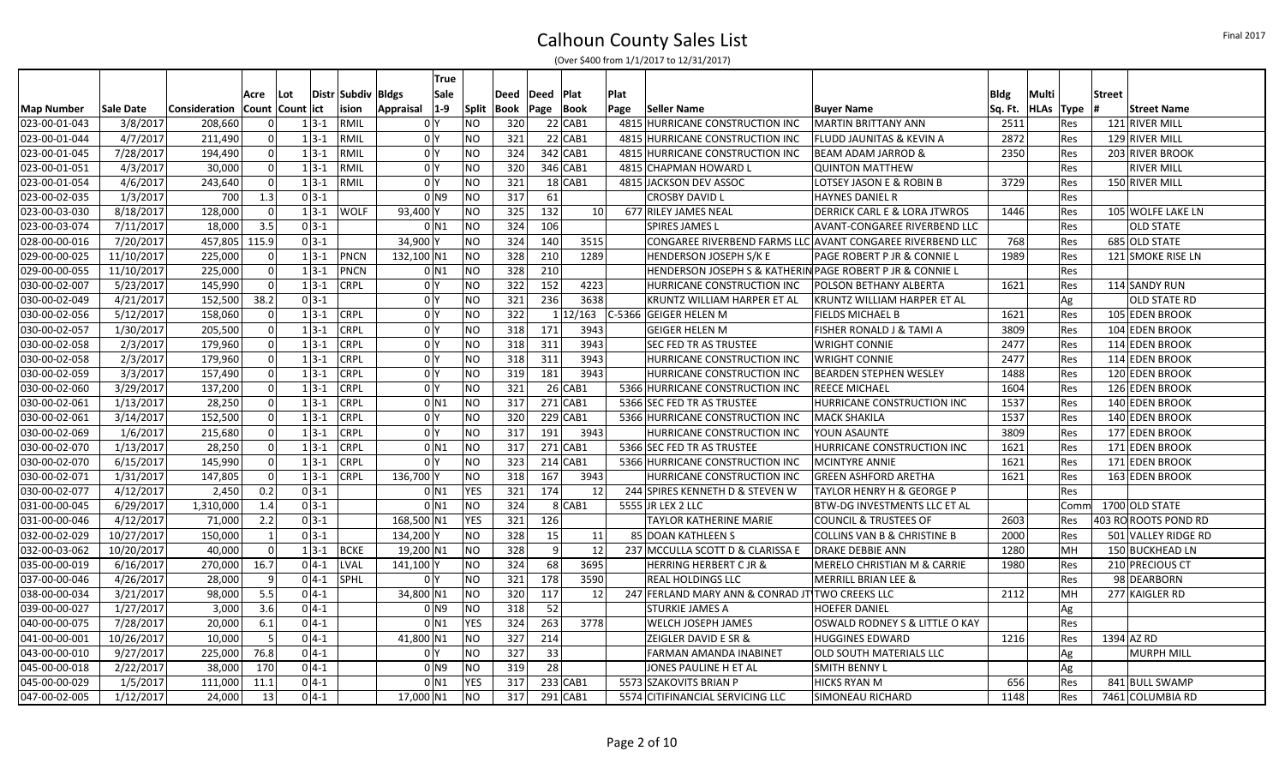|               |            |                                     |          |                  |                    | <b>True</b>                 |              |      |      |            |                                                           |                                                           |         |       |            |                      |
|---------------|------------|-------------------------------------|----------|------------------|--------------------|-----------------------------|--------------|------|------|------------|-----------------------------------------------------------|-----------------------------------------------------------|---------|-------|------------|----------------------|
|               |            |                                     | Acre     | Lot              | Distr Subdiv Bldgs | Sale                        |              | Deed | Deed | Plat       | Plat                                                      |                                                           | Bldg    | Multi |            | <b>Street</b>        |
| Map Number    | Sale Date  | Consideration   Count   Count   ict |          |                  | ision              | $ 1-9 $<br><b>Appraisal</b> | <b>Split</b> | Book | Page | Book       | Seller Name<br>Page                                       | <b>Buyer Name</b>                                         | Sq. Ft. |       | HLAs Type  | <b>Street Name</b>   |
| 023-00-01-043 | 3/8/2017   | 208,660                             | $\Omega$ | $1 3-1 $         | RMIL               | 0 Y                         | <b>NO</b>    | 320  |      | $22$ CAB1  | 4815 HURRICANE CONSTRUCTION INC                           | <b>MARTIN BRITTANY ANN</b>                                | 2511    |       | <b>Res</b> | 121 RIVER MILL       |
| 023-00-01-044 | 4/7/2017   | 211,490                             | $\Omega$ | $1 3-1$          | RMIL               | 0 <sup>1</sup>              | NO           | 321  |      | $22$ CAB1  | 4815 HURRICANE CONSTRUCTION INC                           | FLUDD JAUNITAS & KEVIN A                                  | 2872    |       | Res        | 129 RIVER MILL       |
| 023-00-01-045 | 7/28/2017  | 194,490                             | $\Omega$ | $1 3-1$          | RMIL               | 0 <sup>N</sup>              | <b>NO</b>    | 324  |      | 342 CAB1   | 4815 HURRICANE CONSTRUCTION INC                           | <b>BEAM ADAM JARROD &amp;</b>                             | 2350    |       | Res        | 203 RIVER BROOK      |
| 023-00-01-051 | 4/3/2017   | 30,000                              | $\Omega$ | $1 3-1 $         | RMIL               | 0 <sup>N</sup>              | <b>NO</b>    | 320  |      | 346 CAB1   | 4815 CHAPMAN HOWARD L                                     | <b>QUINTON MATTHEW</b>                                    |         |       | Res        | <b>RIVER MILL</b>    |
| 023-00-01-054 | 4/6/2017   | 243,640                             | $\Omega$ | $1 3-1 $         | RMIL               | 0 <sup>Y</sup>              | <b>NO</b>    | 321  |      | $18$ CAB1  | 4815 JACKSON DEV ASSOC                                    | LOTSEY JASON E & ROBIN B                                  | 3729    |       | Res        | 150 RIVER MILL       |
| 023-00-02-035 | 1/3/2017   | 700                                 | 1.3      | $0 3-1$          |                    | 0 N9                        | NO           | 317  | 61   |            | <b>CROSBY DAVID L</b>                                     | <b>HAYNES DANIEL R</b>                                    |         |       | Res        |                      |
| 023-00-03-030 | 8/18/2017  | 128,000                             | $\Omega$ | $1 3-1 $         | <b>WOLF</b>        | 93,400 Y                    | <b>NO</b>    | 325  | 132  | 10         | 677 RILEY JAMES NEAL                                      | <b>DERRICK CARL E &amp; LORA JTWROS</b>                   | 1446    |       | Res        | 105 WOLFE LAKE LN    |
| 023-00-03-074 | 7/11/2017  | 18,000                              | 3.5      | $0 3-1$          |                    | $0$ N <sub>1</sub>          | NO           | 324  | 106  |            | <b>SPIRES JAMES L</b>                                     | AVANT-CONGAREE RIVERBEND LLC                              |         |       | Res        | <b>OLD STATE</b>     |
| 028-00-00-016 | 7/20/2017  | 457,805                             | 115.9    | $0 3-1$          |                    | 34,900 Y                    | <b>NO</b>    | 324  | 140  | 3515       |                                                           | CONGAREE RIVERBEND FARMS LLC AVANT CONGAREE RIVERBEND LLC | 768     |       | Res        | 685 OLD STATE        |
| 029-00-00-025 | 11/10/2017 | 225,000                             | $\Omega$ | $1 3-1 $         | PNCN               | 132,100 N1                  | <b>NO</b>    | 328  | 210  | 1289       | <b>HENDERSON JOSEPH S/K E</b>                             | PAGE ROBERT P JR & CONNIE L                               | 1989    |       | Res        | 121 SMOKE RISE LN    |
| 029-00-00-055 | 11/10/2017 | 225,000                             | $\Omega$ | $1 3-1$          | <b>PNCN</b>        | $0$ N <sub>1</sub>          | <b>NO</b>    | 328  | 210  |            | HENDERSON JOSEPH S & KATHERIN PAGE ROBERT P JR & CONNIE L |                                                           |         |       | Res        |                      |
| 030-00-02-007 | 5/23/2017  | 145,990                             | 0        | $1 3-1 $         | <b>CRPL</b>        | 0 <sup>Y</sup>              | <b>NO</b>    | 322  | 152  | 4223       | HURRICANE CONSTRUCTION INC                                | POLSON BETHANY ALBERTA                                    | 1621    |       | Res        | 114 SANDY RUN        |
| 030-00-02-049 | 4/21/2017  | 152,500                             | 38.2     | $0 3-1$          |                    | 0 <sup>N</sup>              | NO           | 321  | 236  | 3638       | KRUNTZ WILLIAM HARPER ET AL                               | KRUNTZ WILLIAM HARPER ET AL                               |         |       | Ag         | <b>OLD STATE RD</b>  |
| 030-00-02-056 | 5/12/2017  | 158,060                             | $\Omega$ | $1 3-1 $         | <b>CRPL</b>        | 0 <sup>1</sup>              | NO           | 322  |      | 12/163     | $C-5366$<br><b>GEIGER HELEN M</b>                         | <b>FIELDS MICHAEL B</b>                                   | 1621    |       | Res        | 105 EDEN BROOK       |
| 030-00-02-057 | 1/30/2017  | 205,500                             | $\Omega$ | $1 3-1$          | <b>CRPL</b>        | 0 <sup>1</sup>              | <b>NO</b>    | 318  | 171  | 3943       | <b>GEIGER HELEN M</b>                                     | FISHER RONALD J & TAMI A                                  | 3809    |       | Res        | 104 EDEN BROOK       |
| 030-00-02-058 | 2/3/2017   | 179,960                             | $\Omega$ | $1 3-1$          | <b>CRPL</b>        | 0 <sup>N</sup>              | <b>NO</b>    | 318  | 311  | 3943       | <b>SEC FED TR AS TRUSTEE</b>                              | <b>WRIGHT CONNIE</b>                                      | 2477    |       | Res        | 114 EDEN BROOK       |
| 030-00-02-058 | 2/3/2017   | 179,960                             | $\Omega$ | $1 3-1 $         | <b>CRPL</b>        | 0 <sup>1</sup>              | <b>NO</b>    | 318  | 311  | 3943       | HURRICANE CONSTRUCTION INC                                | <b>WRIGHT CONNIE</b>                                      | 2477    |       | Res        | 114 EDEN BROOK       |
| 030-00-02-059 | 3/3/2017   | 157,490                             | $\Omega$ | $1 \times 3 - 1$ | <b>CRPL</b>        | 0 <sup>1</sup>              | <b>NO</b>    | 319  | 181  | 3943       | HURRICANE CONSTRUCTION INC                                | <b>BEARDEN STEPHEN WESLEY</b>                             | 1488    |       | Res        | 120 EDEN BROOK       |
| 030-00-02-060 | 3/29/2017  | 137,200                             | $\Omega$ | $1 3-1$          | <b>CRPL</b>        | 0 <sup>1</sup>              | <b>NO</b>    | 321  |      | 26 CAB1    | 5366 HURRICANE CONSTRUCTION INC                           | REECE MICHAEL                                             | 1604    |       | Res        | 126 EDEN BROOK       |
| 030-00-02-061 | 1/13/2017  | 28,250                              | 0        | $1 3-1$          | <b>CRPL</b>        | $0$ N <sub>1</sub>          | NO           | 317  |      | $271$ CAB1 | 5366 SEC FED TR AS TRUSTEE                                | HURRICANE CONSTRUCTION INC                                | 1537    |       | Res        | 140 EDEN BROOK       |
| 030-00-02-061 | 3/14/2017  | 152,500                             | $\Omega$ | $1 3-1$          | <b>CRPL</b>        | 0 <sup>1</sup>              | <b>NO</b>    | 320  |      | $229$ CAB1 | 5366 HURRICANE CONSTRUCTION INC                           | <b>MACK SHAKILA</b>                                       | 1537    |       | Res        | 140 EDEN BROOK       |
| 030-00-02-069 | 1/6/2017   | 215,680                             | $\Omega$ | $1 3-1$          | <b>CRPL</b>        | 0 <sup>1</sup>              | <b>NO</b>    | 317  | 191  | 3943       | HURRICANE CONSTRUCTION INC                                | YOUN ASAUNTE                                              | 3809    |       | Res        | 177 EDEN BROOK       |
| 030-00-02-070 | 1/13/2017  | 28,250                              | 0        | $1 3-1$          | <b>CRPL</b>        | $0$ N <sub>1</sub>          | <b>NO</b>    | 317  |      | $271$ CAB1 | 5366 SEC FED TR AS TRUSTEE                                | HURRICANE CONSTRUCTION INC                                | 1621    |       | Res        | 171 EDEN BROOK       |
| 030-00-02-070 | 6/15/2017  | 145,990                             | 0 I      | $1 3-1$          | <b>CRPL</b>        | 0 <sup>1</sup>              | <b>NO</b>    | 323  |      | $214$ CAB1 | 5366 HURRICANE CONSTRUCTION INC                           | <b>MCINTYRE ANNIE</b>                                     | 1621    |       | Res        | 171 EDEN BROOK       |
| 030-00-02-071 | 1/31/2017  | 147,805                             | $\Omega$ | $1 3-1 $         | <b>CRPL</b>        | 136,700 Y                   | <b>NO</b>    | 318  | 167  | 3943       | HURRICANE CONSTRUCTION INC                                | GREEN ASHFORD ARETHA                                      | 1621    |       | Res        | 163 EDEN BROOK       |
| 030-00-02-077 | 4/12/2017  | 2,450                               | 0.2      | $0 3-1$          |                    | $0$ <sub>N1</sub>           | <b>YES</b>   | 321  | 174  | 12         | 244 SPIRES KENNETH D & STEVEN W                           | TAYLOR HENRY H & GEORGE P                                 |         |       | Res        |                      |
| 031-00-00-045 | 6/29/2017  | 1,310,000                           | 1.4      | $0 3-1 $         |                    | $0$ N <sub>1</sub>          | <b>NO</b>    | 324  |      | 8 CAB1     | 5555 JR LEX 2 LLC                                         | BTW-DG INVESTMENTS LLC ET AL                              |         |       | Comm       | 1700 OLD STATE       |
| 031-00-00-046 | 4/12/2017  | 71,000                              | 2.2      | $0 3-1 $         |                    | 168,500 N1                  | <b>YES</b>   | 321  | 126  |            | TAYLOR KATHERINE MARIE                                    | <b>COUNCIL &amp; TRUSTEES OF</b>                          | 2603    |       | Res        | 403 RO ROOTS POND RD |
| 032-00-02-029 | 10/27/2017 | 150,000                             |          | $0 3-1 $         |                    | 134,200 Y                   | <b>NO</b>    | 328  | 15   | 11         | 85 DOAN KATHLEEN S                                        | <b>COLLINS VAN B &amp; CHRISTINE B</b>                    | 2000    |       | Res        | 501 VALLEY RIDGE RD  |
| 032-00-03-062 | 10/20/2017 | 40,000                              |          | $1 3-1 $         | BCKE               | 19,200 N1                   | <b>NO</b>    | 328  | q    | 12         | 237 MCCULLA SCOTT D & CLARISSA E                          | <b>DRAKE DEBBIE ANN</b>                                   | 1280    |       | MН         | 150 BUCKHEAD LN      |
| 035-00-00-019 | 6/16/2017  | 270,000                             | 16.7     | $0 4-1$          | LVAL               | 141,100 Y                   | <b>NO</b>    | 324  | 68   | 3695       | <b>HERRING HERBERT C JR &amp;</b>                         | MERELO CHRISTIAN M & CARRIE                               | 1980    |       | Res        | 210 PRECIOUS CT      |
| 037-00-00-046 | 4/26/2017  | 28,000                              | q        | $0 4-1$          | SPHL               | 0 <sup>1</sup>              | <b>NO</b>    | 321  | 178  | 3590       | REAL HOLDINGS LLC                                         | MERRILL BRIAN LEE &                                       |         |       | Res        | 98 DEARBORN          |
| 038-00-00-034 | 3/21/2017  | 98,000                              | 5.5      | $0 4-1$          |                    | 34,800 N1                   | <b>NO</b>    | 320  | 117  | 12         | 247 FERLAND MARY ANN & CONRAD JT TWO CREEKS LLC           |                                                           | 2112    |       | MН         | 277 KAIGLER RD       |
| 039-00-00-027 | 1/27/2017  | 3,000                               | 3.6      | $0 4-1 $         |                    | 0 N9                        | <b>NO</b>    | 318  | 52   |            | <b>STURKIE JAMES A</b>                                    | <b>HOEFER DANIEL</b>                                      |         |       | Ag         |                      |
| 040-00-00-075 | 7/28/2017  | 20,000                              | 6.1      | $0 4-1 $         |                    | $0$ N <sub>1</sub>          | <b>YES</b>   | 324  | 263  | 3778       | <b>WELCH JOSEPH JAMES</b>                                 | OSWALD RODNEY S & LITTLE O KAY                            |         |       | Res        |                      |
| 041-00-00-001 | 10/26/2017 | 10,000                              | -5       | $0 4-1$          |                    | 41,800 N1                   | <b>NO</b>    | 327  | 214  |            | ZEIGLER DAVID E SR &                                      | <b>HUGGINES EDWARD</b>                                    | 1216    |       | Res        | 1394 AZ RD           |
| 043-00-00-010 | 9/27/2017  | 225,000                             | 76.8     | $0 4-1$          |                    | 0 <sup>N</sup>              | <b>NO</b>    | 327  | 33   |            | <b>FARMAN AMANDA INABINET</b>                             | OLD SOUTH MATERIALS LLC                                   |         |       | Ag         | <b>MURPH MILL</b>    |
| 045-00-00-018 | 2/22/2017  | 38,000                              | 170      | $0 4-1 $         |                    | 0 N9                        | <b>NO</b>    | 319  | 28   |            | JONES PAULINE H ET AL                                     | SMITH BENNY L                                             |         |       | Ag         |                      |
| 045-00-00-029 | 1/5/2017   | 111,000                             | 11.1     | $0 4-1$          |                    | $0$ <sub>N1</sub>           | <b>YES</b>   | 317  |      | 233 CAB1   | 5573 SZAKOVITS BRIAN P                                    | <b>HICKS RYAN M</b>                                       | 656     |       | Res        | 841 BULL SWAMP       |
| 047-00-02-005 | 1/12/2017  | 24,000                              | 13       | $0 4-1$          |                    | 17,000 N1                   | <b>NO</b>    | 317  |      | 291 CAB1   | 5574 CITIFINANCIAL SERVICING LLC                          | SIMONEAU RICHARD                                          | 1148    |       | <b>Res</b> | 7461 COLUMBIA RD     |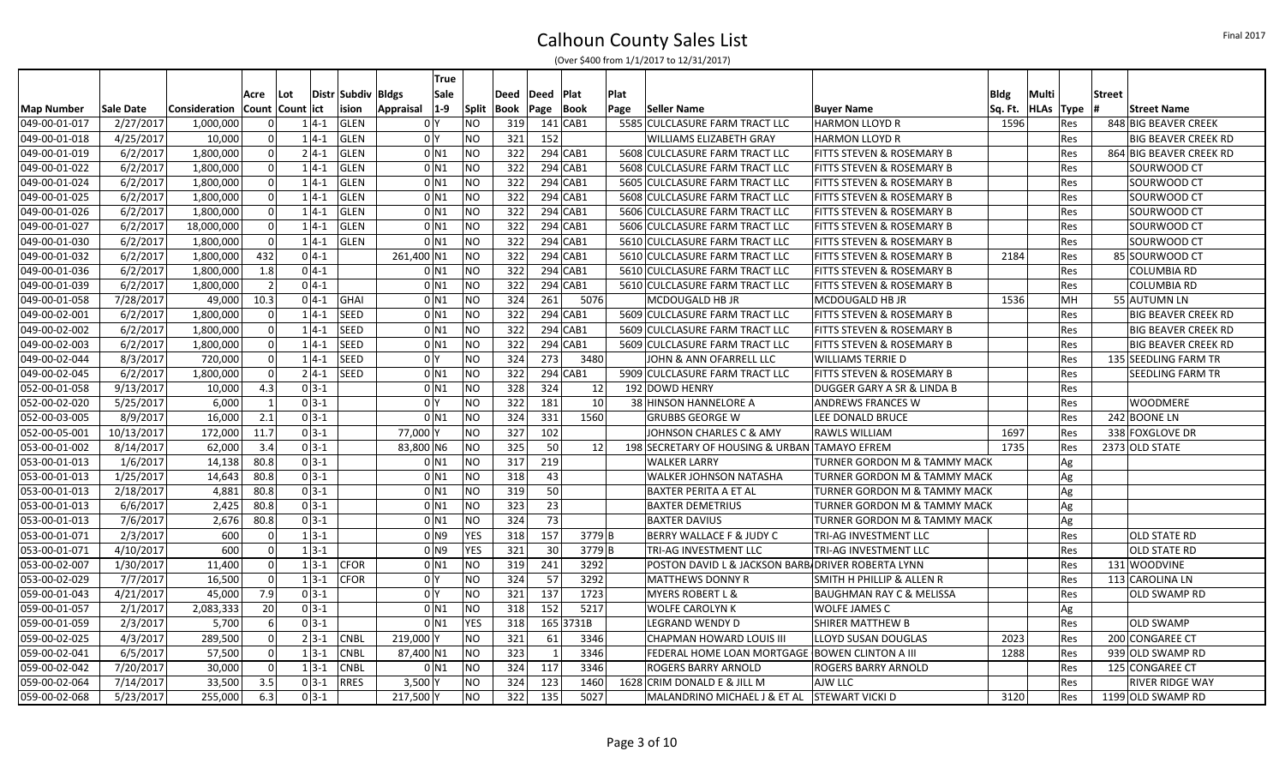|                   |            |               |      |                     |          |                    |            | True                |                |      |                |            |      |                                                   |                                      |             |           |     |               |                            |
|-------------------|------------|---------------|------|---------------------|----------|--------------------|------------|---------------------|----------------|------|----------------|------------|------|---------------------------------------------------|--------------------------------------|-------------|-----------|-----|---------------|----------------------------|
|                   |            |               | Acre | l Lot               |          | Distr Subdiv Bldgs |            | Sale                |                | Deed | Deed           | Plat       | Plat |                                                   |                                      | <b>Bldg</b> | Multi     |     | <b>Street</b> |                            |
| <b>Map Number</b> | Sale Date  | Consideration |      | Count   Count   ict |          | ision              | Appraisal  | $ 1-9 $             | Split          | Book | Page           | Book       | Page | Seller Name                                       | <b>Buyer Name</b>                    | Sq. Ft.     | HLAs Type |     |               | <b>Street Name</b>         |
| 049-00-01-017     | 2/27/2017  | 1,000,000     |      | $\overline{0}$      | $1 4-1$  | GLEN               |            | 0 Y                 | NΟ             | 319  |                | 141 CAB1   |      | 5585 CULCLASURE FARM TRACT LLC                    | <b>HARMON LLOYD R</b>                | 1596        |           | Res |               | 848 BIG BEAVER CREEK       |
| 049-00-01-018     | 4/25/2017  | 10,000        |      | $\mathbf 0$         | $1 4-1$  | <b>GLEN</b>        |            | 0 <sup>1</sup>      | NO.            | 321  | 152            |            |      | WILLIAMS ELIZABETH GRAY                           | <b>HARMON LLOYD R</b>                |             |           | Res |               | <b>BIG BEAVER CREEK RD</b> |
| 049-00-01-019     | 6/2/2017   | 1,800,000     |      | $\mathbf 0$         | $2 4-1 $ | <b>GLEN</b>        |            | $0$ N1              | <b>NO</b>      | 322  |                | 294 CAB1   |      | 5608 CULCLASURE FARM TRACT LLC                    | FITTS STEVEN & ROSEMARY B            |             |           | Res |               | 864 BIG BEAVER CREEK RD    |
| 049-00-01-022     | 6/2/2017   | 1,800,000     |      | $\mathbf 0$         | $1 4-1$  | <b>GLEN</b>        |            | $0$ <sub>N1</sub>   | <b>NO</b>      | 322  |                | 294 CAB1   |      | 5608 CULCLASURE FARM TRACT LLC                    | FITTS STEVEN & ROSEMARY B            |             |           | Res |               | SOURWOOD CT                |
| 049-00-01-024     | 6/2/2017   | 1,800,000     |      | 0                   | $1 4-1$  | <b>GLEN</b>        |            | $0$ N1              | <b>NO</b>      | 322  |                | 294 CAB1   |      | 5605 CULCLASURE FARM TRACT LLC                    | FITTS STEVEN & ROSEMARY B            |             |           | Res |               | SOURWOOD CT                |
| 049-00-01-025     | 6/2/2017   | 1,800,000     |      | 0                   | $1 4-1$  | <b>GLEN</b>        |            | $0$ N1              | <b>NO</b>      | 322  |                | $294$ CAB1 |      | 5608 CULCLASURE FARM TRACT LLC                    | FITTS STEVEN & ROSEMARY B            |             |           | Res |               | SOURWOOD CT                |
| 049-00-01-026     | 6/2/2017   | 1,800,000     |      | $\mathbf 0$         | $1 4-1$  | <b>GLEN</b>        |            | $0$ N1              | <b>NO</b>      | 322  |                | 294 CAB1   |      | 5606 CULCLASURE FARM TRACT LLC                    | FITTS STEVEN & ROSEMARY B            |             |           | Res |               | SOURWOOD CT                |
| 049-00-01-027     | 6/2/2017   | 18,000,000    |      | $\Omega$            | $1 4-1$  | <b>GLEN</b>        |            | $0$ N <sub>1</sub>  | <b>NO</b>      | 322  |                | 294 CAB1   |      | 5606 CULCLASURE FARM TRACT LLC                    | FITTS STEVEN & ROSEMARY B            |             |           | Res |               | SOURWOOD CT                |
| 049-00-01-030     | 6/2/2017   | 1,800,000     |      | $\mathbf 0$         | $1 4-1$  | <b>GLEN</b>        |            | 0 <sub>N1</sub>     | <b>NO</b>      | 322  |                | 294 CAB1   |      | 5610 CULCLASURE FARM TRACT LLC                    | FITTS STEVEN & ROSEMARY B            |             |           | Res |               | SOURWOOD CT                |
| 049-00-01-032     | 6/2/2017   | 1,800,000     | 432  |                     | $0 4-1$  |                    | 261,400 N1 |                     | NO             | 322  |                | $294$ CAB1 |      | 5610 CULCLASURE FARM TRACT LLC                    | FITTS STEVEN & ROSEMARY B            | 2184        |           | Res |               | 85 SOURWOOD CT             |
| 049-00-01-036     | 6/2/2017   | 1,800,000     | 1.8  |                     | $0 4-1$  |                    |            | $0$ N1              | NO             | 322  |                | $294$ CAB1 |      | 5610 CULCLASURE FARM TRACT LLC                    | FITTS STEVEN & ROSEMARY B            |             |           | Res |               | <b>COLUMBIA RD</b>         |
| 049-00-01-039     | 6/2/2017   | 1,800,000     |      | $\overline{2}$      | $0 4-1 $ |                    |            | 0 <sub>N1</sub>     | <b>NO</b>      | 322  |                | $294$ CAB1 |      | 5610 CULCLASURE FARM TRACT LLC                    | FITTS STEVEN & ROSEMARY B            |             |           | Res |               | <b>COLUMBIA RD</b>         |
| 049-00-01-058     | 7/28/2017  | 49,000        | 10.3 |                     | $0 4-1 $ | GHAI               |            | $0$ <sub>N1</sub>   | NO             | 324  | 261            | 5076       |      | MCDOUGALD HB JR                                   | MCDOUGALD HB JR                      | 1536        |           | MH  |               | 55 AUTUMN LN               |
| 049-00-02-001     | 6/2/2017   | 1,800,000     |      |                     | $1 4-1$  | <b>SEED</b>        |            | $0$ N1              | <b>NO</b>      | 322  |                | $294$ CAB1 |      | 5609 CULCLASURE FARM TRACT LLC                    | <b>FITTS STEVEN &amp; ROSEMARY B</b> |             |           | Res |               | <b>BIG BEAVER CREEK RD</b> |
| 049-00-02-002     | 6/2/2017   | 1,800,000     |      | $\mathbf 0$         | $1 4-1$  | <b>SEED</b>        |            | $0$ N1              | <b>NO</b>      | 322  |                | $294$ CAB1 |      | 5609 CULCLASURE FARM TRACT LLC                    | FITTS STEVEN & ROSEMARY B            |             |           | Res |               | <b>BIG BEAVER CREEK RD</b> |
| 049-00-02-003     | 6/2/2017   | 1,800,000     |      | -ol                 | $1 4-1$  | SEED               |            | $0$ N1              | <b>NO</b>      | 322  |                | 294 CAB1   |      | 5609 CULCLASURE FARM TRACT LLC                    | FITTS STEVEN & ROSEMARY B            |             |           | Res |               | <b>BIG BEAVER CREEK RD</b> |
| 049-00-02-044     | 8/3/2017   | 720,000       |      | $\mathbf 0$         | $1 4-1 $ | <b>SEED</b>        |            | 0 <sup>1</sup>      | <b>NO</b>      | 324  | 273            | 3480       |      | JOHN & ANN OFARRELL LLC                           | <b>WILLIAMS TERRIE D</b>             |             |           | Res |               | 135 SEEDLING FARM TR       |
| 049-00-02-045     | 6/2/2017   | 1,800,000     |      | $\mathbf 0$         | $2 4-1 $ | SEED               |            | $0$ N1              | <b>NO</b>      | 322  |                | $294$ CAB1 |      | 5909 CULCLASURE FARM TRACT LLC                    | <b>FITTS STEVEN &amp; ROSEMARY B</b> |             |           | Res |               | SEEDLING FARM TR           |
| 052-00-01-058     | 9/13/2017  | 10,000        | 4.3  |                     | $0 3-1$  |                    |            | 0 <sub>N1</sub>     | <b>NO</b>      | 328  | 324            | 12         |      | 192 DOWD HENRY                                    | DUGGER GARY A SR & LINDA B           |             |           | Res |               |                            |
| 052-00-02-020     | 5/25/2017  | 6,000         |      | $\overline{1}$      | $0 3-1 $ |                    |            | 0 <sup>1</sup>      | <b>NO</b>      | 322  | 181            | 10         |      | 38 HINSON HANNELORE A                             | <b>ANDREWS FRANCES W</b>             |             |           | Res |               | WOODMERE                   |
| 052-00-03-005     | 8/9/2017   | 16,000        | 2.1  |                     | $0 3-1$  |                    |            | $0$ N <sub>1</sub>  | <b>NO</b>      | 324  | 331            | 1560       |      | <b>GRUBBS GEORGE W</b>                            | LEE DONALD BRUCE                     |             |           | Res |               | 242 BOONE LN               |
| 052-00-05-001     | 10/13/2017 | 172,000       | 11.7 |                     | $0 3-1 $ |                    | 77,000     |                     | <b>NO</b>      | 327  | 102            |            |      | JOHNSON CHARLES C & AMY                           | <b>RAWLS WILLIAM</b>                 | 1697        |           | Res |               | 338 FOXGLOVE DR            |
| 053-00-01-002     | 8/14/2017  | 62,000        | 3.4  |                     | $0 3-1 $ |                    | 83,800 N6  |                     | NO             | 325  | 50             | 12         |      | 198 SECRETARY OF HOUSING & URBAN                  | <b>TAMAYO EFREM</b>                  | 1735        |           | Res |               | 2373 OLD STATE             |
| 053-00-01-013     | 1/6/2017   | 14,138        | 80.8 |                     | $0 3-1 $ |                    |            | 0 N1                | <b>NO</b>      | 317  | 219            |            |      | <b>WALKER LARRY</b>                               | TURNER GORDON M & TAMMY MACK         |             |           | Ag  |               |                            |
| 053-00-01-013     | 1/25/2017  | 14,643        | 80.8 |                     | $0 3-1 $ |                    |            | $0$ N <sub>1</sub>  | <b>NO</b>      | 318  | 43             |            |      | <b>WALKER JOHNSON NATASHA</b>                     | TURNER GORDON M & TAMMY MACK         |             |           | Ag  |               |                            |
| 053-00-01-013     | 2/18/2017  | 4,881         | 80.8 |                     | $0 3-1 $ |                    |            | 0 N1                | <b>NO</b>      | 319  | 50             |            |      | <b>BAXTER PERITA A ET AL</b>                      | TURNER GORDON M & TAMMY MACK         |             |           | Ag  |               |                            |
| 053-00-01-013     | 6/6/2017   | 2,425         | 80.8 |                     | $0 3-1 $ |                    |            | 0 N 1               | NO             | 323  | 23             |            |      | <b>BAXTER DEMETRIUS</b>                           | TURNER GORDON M & TAMMY MACK         |             |           | Ag  |               |                            |
| 053-00-01-013     | 7/6/2017   | 2,676         | 80.8 |                     | $0 3-1 $ |                    |            | $0$ N1              | NO             | 324  | 73             |            |      | <b>BAXTER DAVIUS</b>                              | TURNER GORDON M & TAMMY MACK         |             |           | Ag  |               |                            |
| 053-00-01-071     | 2/3/2017   | 600           |      | $\Omega$            | $1 3-1 $ |                    |            | $01$ N <sub>9</sub> | <b>YES</b>     | 318  | 157            | 3779B      |      | BERRY WALLACE F & JUDY C                          | TRI-AG INVESTMENT LLC                |             |           | Res |               | OLD STATE RD               |
| 053-00-01-071     | 4/10/2017  | 600           |      | $\Omega$            | $1 3-1 $ |                    |            | $01$ N <sub>9</sub> | <b>YES</b>     | 321  | 30             | $3779$ B   |      | TRI-AG INVESTMENT LLC                             | TRI-AG INVESTMENT LLC                |             |           | Res |               | OLD STATE RD               |
| 053-00-02-007     | 1/30/2017  | 11,400        |      | $\mathbf 0$         | $1 3-1 $ | <b>CFOR</b>        |            | $0$ N1              | NO             | 319  | 241            | 3292       |      | POSTON DAVID L & JACKSON BARB/DRIVER ROBERTA LYNN |                                      |             |           | Res |               | 131 WOODVINE               |
| 053-00-02-029     | 7/7/2017   | 16,500        |      | $\Omega$            | $1 3-1$  | <b>CFOR</b>        |            | 0 <sup>1</sup>      | <b>NO</b>      | 324  | 57             | 3292       |      | <b>MATTHEWS DONNY R</b>                           | <b>SMITH H PHILLIP &amp; ALLEN R</b> |             |           | Res |               | 113 CAROLINA LN            |
| 059-00-01-043     | 4/21/2017  | 45,000        | 7.9  |                     | $0 3-1$  |                    |            | 0 <sup>1</sup>      | N <sub>O</sub> | 321  | 137            | 1723       |      | <b>MYERS ROBERT L &amp;</b>                       | <b>BAUGHMAN RAY C &amp; MELISSA</b>  |             |           | Res |               | OLD SWAMP RD               |
| 059-00-01-057     | 2/1/2017   | 2,083,333     | 20   |                     | $0 3-1 $ |                    |            | 0 <sub>N1</sub>     | NO             | 318  | 152            | 5217       |      | <b>WOLFE CAROLYN K</b>                            | <b>WOLFE JAMES C</b>                 |             |           | Ag  |               |                            |
| 059-00-01-059     | 2/3/2017   | 5,700         |      | $\boldsymbol{6}$    | $0 3-1$  |                    |            | 0 <sub>N1</sub>     | <b>YES</b>     | 318  |                | 165 3731B  |      | <b>LEGRAND WENDY D</b>                            | <b>SHIRER MATTHEW B</b>              |             |           | Res |               | <b>OLD SWAMP</b>           |
| 059-00-02-025     | 4/3/2017   | 289,500       |      | $\Omega$            | $2 3-1 $ | <b>CNBL</b>        | 219,000 Y  |                     | ΝO             | 321  | 61             | 3346       |      | <b>CHAPMAN HOWARD LOUIS III</b>                   | LLOYD SUSAN DOUGLAS                  | 2023        |           | Res |               | 200 CONGAREE CT            |
| 059-00-02-041     | 6/5/2017   | 57,500        |      | $\mathbf 0$         | $1 3-1$  | <b>CNBL</b>        | 87,400 N1  |                     | <b>NO</b>      | 323  | $\overline{1}$ | 3346       |      | FEDERAL HOME LOAN MORTGAGE                        | <b>BOWEN CLINTON A III</b>           | 1288        |           | Res |               | 939 OLD SWAMP RD           |
| 059-00-02-042     | 7/20/2017  | 30,000        |      | $\Omega$            | $1 3-1$  | <b>CNBL</b>        |            | $0$ N1              | NO             | 324  | 117            | 3346       |      | ROGERS BARRY ARNOLD                               | ROGERS BARRY ARNOLD                  |             |           | Res |               | 125 CONGAREE CT            |
| 059-00-02-064     | 7/14/2017  | 33,500        | 3.5  |                     | $0 3-1$  | <b>RRES</b>        | $3,500$ Y  |                     | NΟ             | 324  | 123            | 1460       |      | 1628 CRIM DONALD E & JILL M                       | AJW LLC                              |             |           | Res |               | RIVER RIDGE WAY            |
| 059-00-02-068     | 5/23/2017  | 255,000       | 6.3  |                     | $0 3-1$  |                    | 217,500 Y  |                     | NO.            | 322  | 135            | 5027       |      | MALANDRINO MICHAEL J & ET AL STEWART VICKI D      |                                      | 3120        |           | Res |               | 1199 OLD SWAMP RD          |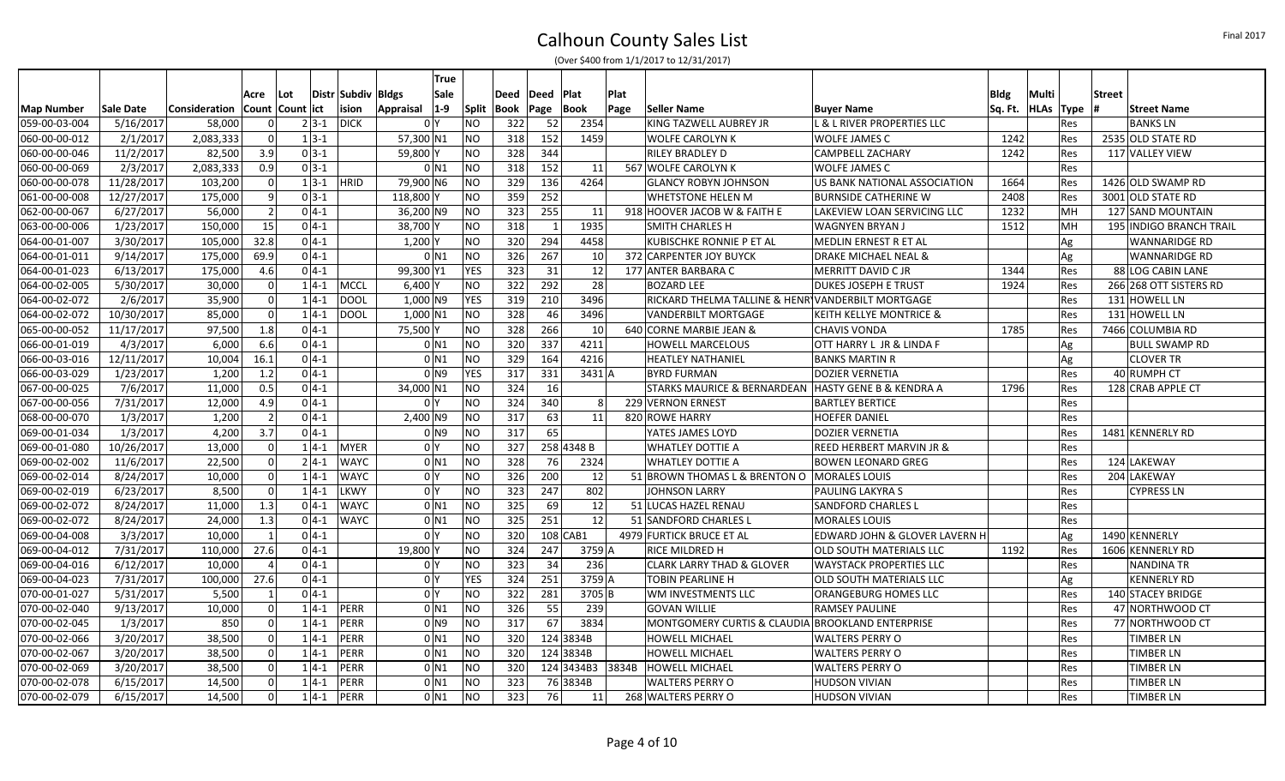|                   |            |                                     |                |          |          |                    | <b>True</b>                 |                |      |      |                                  |      |                                                   |                                       |             |             |            |               |                                |
|-------------------|------------|-------------------------------------|----------------|----------|----------|--------------------|-----------------------------|----------------|------|------|----------------------------------|------|---------------------------------------------------|---------------------------------------|-------------|-------------|------------|---------------|--------------------------------|
|                   |            |                                     | Acre           | l Lot    |          | Distr Subdiv Bldgs | <b>Sale</b>                 |                | Deed | Deed | Plat                             | Plat |                                                   |                                       | <b>Bldg</b> | Multi       |            | <b>Street</b> |                                |
| <b>Map Number</b> | Sale Date  | Consideration   Count   Count   ict |                |          |          | ision              | $ 1-9 $<br><b>Appraisal</b> | <b>Split</b>   | Book | Page | <b>Book</b>                      | Page | Seller Name                                       | <b>Buyer Name</b>                     | Sq. Ft.     | <b>HLAs</b> | Type       |               | <b>Street Name</b>             |
| 059-00-03-004     | 5/16/2017  | 58,000                              | $\Omega$       |          | $2 3-1 $ | <b>DICK</b>        | 0 <sup>1</sup>              | <b>NO</b>      | 322  | -52  | 2354                             |      | KING TAZWELL AUBREY JR                            | <b>L &amp; L RIVER PROPERTIES LLC</b> |             |             | <b>Res</b> |               | <b>BANKSLN</b>                 |
| 060-00-00-012     | 2/1/2017   | 2,083,333                           | 0              | $1 3-1 $ |          |                    | 57,300 N1                   | <b>NO</b>      | 318  | 152  | 1459                             |      | <b>WOLFE CAROLYN K</b>                            | <b>WOLFE JAMES C</b>                  | 1242        |             | <b>Res</b> |               | 2535 OLD STATE RD              |
| 060-00-00-046     | 11/2/2017  | 82,500                              | 3.9            | $0 3-1$  |          |                    | 59,800 Y                    | <b>NO</b>      | 328  | 344  |                                  |      | <b>RILEY BRADLEY D</b>                            | <b>CAMPBELL ZACHARY</b>               | 1242        |             | <b>Res</b> |               | 117 VALLEY VIEW                |
| 060-00-00-069     | 2/3/2017   | 2,083,333                           | 0.9            | $0 3-1$  |          |                    | $0$ N <sub>1</sub>          | <b>NO</b>      | 318  | 152  | 11                               |      | 567 WOLFE CAROLYN K                               | <b>WOLFE JAMES C</b>                  |             |             | <b>Res</b> |               |                                |
| 060-00-00-078     | 11/28/2017 | 103,200                             | 0              |          | $1 3-1 $ | <b>HRID</b>        | 79,900 N6                   | <b>NO</b>      | 329  | 136  | 4264                             |      | <b>GLANCY ROBYN JOHNSON</b>                       | US BANK NATIONAL ASSOCIATION          | 1664        |             | <b>Res</b> |               | 1426 OLD SWAMP RD              |
| 061-00-00-008     | 12/27/2017 | 175,000                             | 9              | $0 3-1 $ |          |                    | 118,800 Y                   | <b>NO</b>      | 359  | 252  |                                  |      | <b>WHETSTONE HELEN M</b>                          | <b>BURNSIDE CATHERINE W</b>           | 2408        |             | <b>Res</b> |               | 3001 OLD STATE RD              |
| 062-00-00-067     | 6/27/2017  | 56,000                              | $\overline{2}$ | $0 4-1$  |          |                    | 36,200 N9                   | <b>NO</b>      | 323  | 255  | 11                               |      | 918 HOOVER JACOB W & FAITH E                      | LAKEVIEW LOAN SERVICING LLC           | 1232        |             | MН         |               | 127 SAND MOUNTAIN              |
| 063-00-00-006     | 1/23/2017  | 150,000                             | 15             | $0 4-1$  |          |                    | 38,700 Y                    | <b>NO</b>      | 318  |      | 1935                             |      | <b>SMITH CHARLES H</b>                            | <b>WAGNYEN BRYAN J</b>                | 1512        |             | MН         |               | <b>195 INDIGO BRANCH TRAIL</b> |
| 064-00-01-007     | 3/30/2017  | 105,000                             | 32.8           | $0 4-1 $ |          |                    | $1,200$ Y                   | <b>NO</b>      | 320  | 294  | 4458                             |      | KUBISCHKE RONNIE P ET AL                          | <b>MEDLIN ERNEST R ET AL</b>          |             |             | Ag         |               | <b>WANNARIDGE RD</b>           |
| 064-00-01-011     | 9/14/2017  | 175,000                             | 69.9           | $0 4-1 $ |          |                    | $0$ N1                      | <b>NO</b>      | 326  | 267  | 10                               |      | 372 CARPENTER JOY BUYCK                           | DRAKE MICHAEL NEAL &                  |             |             | Ag         |               | lWANNARIDGE RD                 |
| 064-00-01-023     | 6/13/2017  | 175,000                             | 4.6            | $0 4-1$  |          |                    | 99,300 Y1                   | <b>YES</b>     | 323  | 31   | 12                               |      | 177 ANTER BARBARA C                               | <b>MERRITT DAVID CJR</b>              | 1344        |             | <b>Res</b> |               | 88 LOG CABIN LANE              |
| 064-00-02-005     | 5/30/2017  | 30,000                              | 0              |          |          | $1 4-1$ MCCL       | $6,400$ Y                   | <b>NO</b>      | 322  | 292  | 28                               |      | <b>BOZARD LEE</b>                                 | <b>DUKES JOSEPH E TRUST</b>           | 1924        |             | <b>Res</b> |               | 266 268 OTT SISTERS RD         |
| 064-00-02-072     | 2/6/2017   | 35,900                              | 0              |          | $1 4-1 $ | <b>DOOL</b>        | 1,000 N9                    | <b>YES</b>     | 319  | 210  | 3496                             |      | RICKARD THELMA TALLINE & HENR VANDERBILT MORTGAGE |                                       |             |             | Res        |               | 131 HOWELL LN                  |
| 064-00-02-072     | 10/30/2017 | 85,000                              | 0              |          | $1 4-1 $ | <b>DOOL</b>        | $1,000$ N1                  | <b>NO</b>      | 328  | 46   | 3496                             |      | <b>VANDERBILT MORTGAGE</b>                        | <b>KEITH KELLYE MONTRICE &amp;</b>    |             |             | <b>Res</b> |               | 131 HOWELL LN                  |
| 065-00-00-052     | 11/17/2017 | 97,500                              | 1.8            | $0 4-1$  |          |                    | 75,500 Y                    | <b>NO</b>      | 328  | 266  | 10                               |      | 640 CORNE MARBIE JEAN &                           | <b>CHAVIS VONDA</b>                   | 1785        |             | <b>Res</b> |               | 7466 COLUMBIA RD               |
| 066-00-01-019     | 4/3/2017   | 6,000                               | 6.6            | $0 4-1$  |          |                    | $0$ N1                      | <b>NO</b>      | 320  | 337  | 4211                             |      | HOWELL MARCELOUS                                  | OTT HARRY L JR & LINDA F              |             |             | Ag         |               | BULL SWAMP RD                  |
| 066-00-03-016     | 12/11/2017 | 10,004                              | 16.1           | $0 4-1$  |          |                    | $0$ <sub>N1</sub>           | <b>NO</b>      | 329  | 164  | 4216                             |      | <b>HEATLEY NATHANIEL</b>                          | <b>BANKS MARTIN R</b>                 |             |             | Ag         |               | <b>CLOVER TR</b>               |
| 066-00-03-029     | 1/23/2017  | 1,200                               | 1.2            | $0 4-1 $ |          |                    | 0 <sub>1</sub>              | <b>YES</b>     | 317  | 331  | $3431$ <sup><math>A</math></sup> |      | <b>BYRD FURMAN</b>                                | <b>DOZIER VERNETIA</b>                |             |             | <b>Res</b> |               | 40 RUMPH CT                    |
| 067-00-00-025     | 7/6/2017   | 11,000                              | 0.5            | $0 4-1$  |          |                    | 34,000 N1                   | NO             | 324  | 16   |                                  |      | <b>STARKS MAURICE &amp; BERNARDEAN</b>            | HASTY GENE B & KENDRA A               | 1796        |             | <b>Res</b> |               | 128 CRAB APPLE CT              |
| 067-00-00-056     | 7/31/2017  | 12,000                              | 4.9            | $0 4-1$  |          |                    | 0 <sup>Y</sup>              | <b>NO</b>      | 324  | 340  | 8                                |      | 229 VERNON ERNEST                                 | <b>BARTLEY BERTICE</b>                |             |             | <b>Res</b> |               |                                |
| 068-00-00-070     | 1/3/2017   | 1,200                               | $\overline{2}$ | $0 4-1$  |          |                    | $2,400$ N9                  | <b>NO</b>      | 317  | 63   | 11                               |      | 820 ROWE HARRY                                    | <b>HOEFER DANIEL</b>                  |             |             | Res        |               |                                |
| 069-00-01-034     | 1/3/2017   | 4,200                               | 3.7            | $0 4-1$  |          |                    | $01$ N <sub>9</sub>         | <b>NO</b>      | 317  | 65   |                                  |      | YATES JAMES LOYD                                  | <b>DOZIER VERNETIA</b>                |             |             | <b>Res</b> |               | 1481 KENNERLY RD               |
| 069-00-01-080     | 10/26/2017 | 13,000                              | 0              |          | $1 4-1 $ | <b>MYER</b>        | 0 <sup>N</sup>              | <b>NO</b>      | 327  |      | 258 4348 B                       |      | <b>WHATLEY DOTTIE A</b>                           | <b>REED HERBERT MARVIN JR &amp;</b>   |             |             | <b>Res</b> |               |                                |
| 069-00-02-002     | 11/6/2017  | 22,500                              | 0              | $2 4-1 $ |          | <b>WAYC</b>        | $0$ N <sub>1</sub>          | <b>NO</b>      | 328  | 76   | 2324                             |      | <b>WHATLEY DOTTIE A</b>                           | <b>BOWEN LEONARD GREG</b>             |             |             | <b>Res</b> |               | 124 LAKEWAY                    |
| 069-00-02-014     | 8/24/2017  | 10,000                              | $\Omega$       |          | $1 4-1 $ | <b>WAYC</b>        | 0 <sup>Y</sup>              | <b>NO</b>      | 326  | 200  | 12                               |      | 51 BROWN THOMAS L & BRENTON O MORALES LOUIS       |                                       |             |             | <b>Res</b> |               | 204 LAKEWAY                    |
| 069-00-02-019     | 6/23/2017  | 8.500                               | $\Omega$       |          | $1 4-1$  | <b>LKWY</b>        | 0 <sup>Y</sup>              | <b>NO</b>      | 323  | 247  | 802                              |      | <b>JOHNSON LARRY</b>                              | <b>PAULING LAKYRA S</b>               |             |             | <b>Res</b> |               | <b>CYPRESS LN</b>              |
| 069-00-02-072     | 8/24/2017  | 11,000                              | 1.3            | $0 4-1 $ |          | <b>WAYC</b>        | $0$ N <sub>1</sub>          | <b>NO</b>      | 325  | 69   | 12                               |      | 51 LUCAS HAZEL RENAU                              | <b>SANDFORD CHARLES L</b>             |             |             | <b>Res</b> |               |                                |
| 069-00-02-072     | 8/24/2017  | 24,000                              | 1.3            | $0 4-1$  |          | <b>WAYC</b>        | $0$ N <sub>1</sub>          | NO             | 325  | 251  | 12                               |      | 51 SANDFORD CHARLES L                             | <b>MORALES LOUIS</b>                  |             |             | <b>Res</b> |               |                                |
| 069-00-04-008     | 3/3/2017   | 10.000                              |                | $0 4-1$  |          |                    | 0 <sup>N</sup>              | <b>NO</b>      | 320  |      | $108$ CAB1                       |      | 4979 FURTICK BRUCE ET AL                          | EDWARD JOHN & GLOVER LAVERN H         |             |             | Ag         |               | 1490 KENNERLY                  |
| 069-00-04-012     | 7/31/2017  | 110,000                             | 27.6           | $0 4-1$  |          |                    | 19,800 Y                    | <b>NO</b>      | 324  | 247  | 3759 A                           |      | RICE MILDRED H                                    | <b>OLD SOUTH MATERIALS LLC</b>        | 1192        |             | <b>Res</b> |               | 1606 KENNERLY RD               |
| 069-00-04-016     | 6/12/2017  | 10,000                              | $\Delta$       | $0 4-1 $ |          |                    | 0 <sup>N</sup>              | NO             | 323  | 34   | 236                              |      | <b>CLARK LARRY THAD &amp; GLOVER</b>              | <b>WAYSTACK PROPERTIES LLC</b>        |             |             | <b>Res</b> |               | <b>NANDINA TR</b>              |
| 069-00-04-023     | 7/31/2017  | 100,000                             | 27.6           | $0 4-1 $ |          |                    | 0 <sup>N</sup>              | <b>YES</b>     | 324  | 251  | 3759 A                           |      | <b>TOBIN PEARLINE H</b>                           | OLD SOUTH MATERIALS LLC               |             |             | Ag         |               | <b>KENNERLY RD</b>             |
| 070-00-01-027     | 5/31/2017  | 5,500                               |                | $0 4-1$  |          |                    | 0 <sup>Y</sup>              | <b>NO</b>      | 322  | 281  | 3705 <sub>B</sub>                |      | WM INVESTMENTS LLC                                | ORANGEBURG HOMES LLC                  |             |             | <b>Res</b> |               | 140 STACEY BRIDGE              |
| 070-00-02-040     | 9/13/2017  | 10,000                              | $\Omega$       |          | $1 4-1 $ | <b>PERR</b>        | $0$ N <sub>1</sub>          | <b>NO</b>      | 326  | 55   | 239                              |      | <b>GOVAN WILLIE</b>                               | <b>RAMSEY PAULINE</b>                 |             |             | Res        |               | 47 NORTHWOOD CT                |
| 070-00-02-045     | 1/3/2017   | 850                                 | 0              |          | $1 4-1$  | PERR               | $01$ N <sub>9</sub>         | <b>NO</b>      | 317  | 67   | 3834                             |      | MONTGOMERY CURTIS & CLAUDIA BROOKLAND ENTERPRISE  |                                       |             |             | <b>Res</b> |               | 77 NORTHWOOD CT                |
| 070-00-02-066     | 3/20/2017  | 38,500                              | 0              | $1 4-1$  |          | PERR               | $0$ N1                      | <b>NO</b>      | 320  |      | 124 3834B                        |      | <b>HOWELL MICHAEL</b>                             | <b>WALTERS PERRY O</b>                |             |             | Res        |               | <b>TIMBER LN</b>               |
| 070-00-02-067     | 3/20/2017  | 38,500                              | 0              | $1 4-1$  |          | PERR               | $0$ N <sub>1</sub>          | <b>NO</b>      | 320  |      | 124 3834B                        |      | <b>HOWELL MICHAEL</b>                             | <b>WALTERS PERRY O</b>                |             |             | <b>Res</b> |               | <b>TIMBER LN</b>               |
| 070-00-02-069     | 3/20/2017  | 38,500                              | $\Omega$       |          | $1 4-1$  | PERR               | $0$ N <sub>1</sub>          | <b>NO</b>      | 320  |      | 124 3434B3 3834B                 |      | <b>HOWELL MICHAEL</b>                             | <b>WALTERS PERRY O</b>                |             |             | <b>Res</b> |               | <b>TIMBER LN</b>               |
| 070-00-02-078     | 6/15/2017  | 14,500                              | 0 I            | $1 4-1$  |          | PERR               | $0$ <sub>N1</sub>           | <b>NO</b>      | 323  |      | 76 3834B                         |      | <b>WALTERS PERRY O</b>                            | <b>HUDSON VIVIAN</b>                  |             |             | <b>Res</b> |               | <b>TIMBER LN</b>               |
| 070-00-02-079     | 6/15/2017  | 14,500                              | $\Omega$       |          | $1 4-1 $ | <b>PERR</b>        | $0$ N <sub>1</sub>          | N <sub>O</sub> | 323  | 76   | 11                               |      | 268 WALTERS PERRY O                               | <b>HUDSON VIVIAN</b>                  |             |             | <b>Res</b> |               | <b>TIMBER LN</b>               |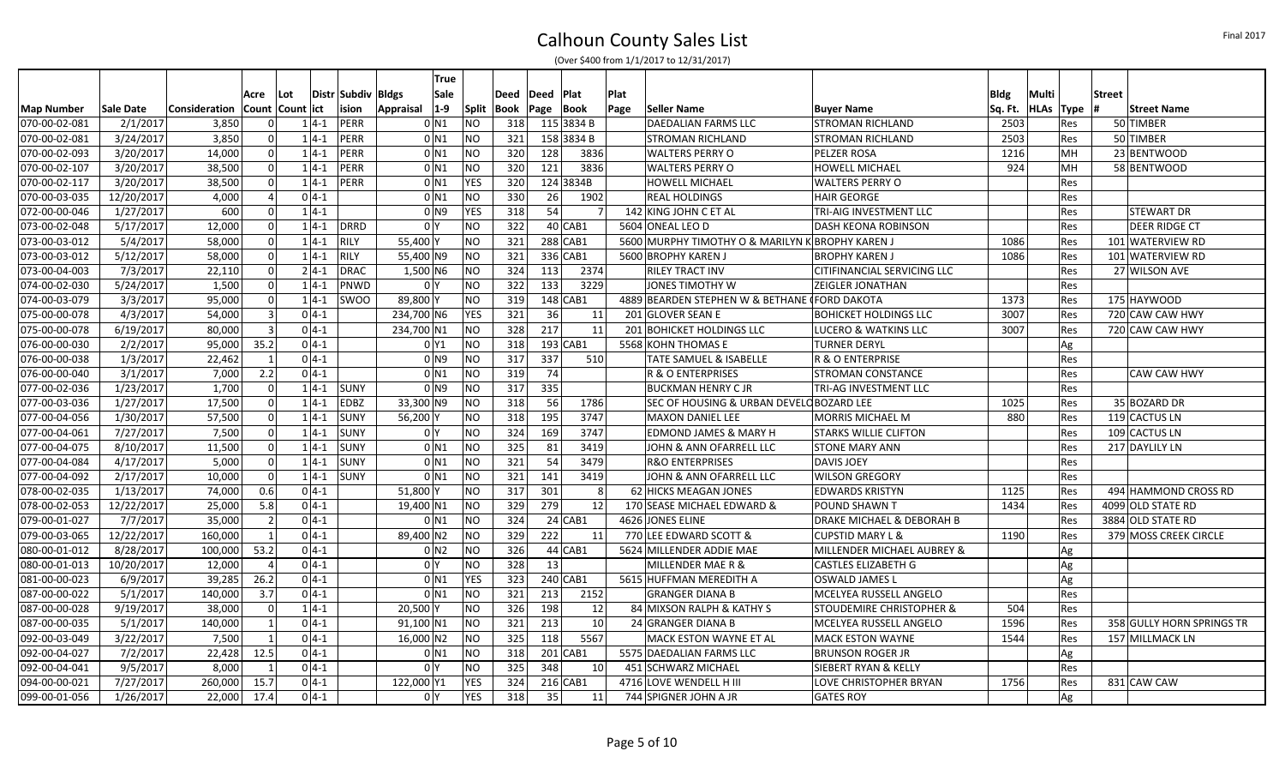|               |                  |                                     |                |          |                    | True                 |              |                  |       |            |      |                                                  |                                      |             |                   |               |                           |
|---------------|------------------|-------------------------------------|----------------|----------|--------------------|----------------------|--------------|------------------|-------|------------|------|--------------------------------------------------|--------------------------------------|-------------|-------------------|---------------|---------------------------|
|               |                  |                                     | Acre           | Lot      | Distr Subdiv Bldgs | Sale                 |              | Deed             | lDeed | Plat       | Plat |                                                  |                                      | <b>Bldg</b> | Multi             | <b>Street</b> |                           |
| Map Number    | <b>Sale Date</b> | Consideration   Count   Count   ict |                |          | ision              | $ 1-9 $<br>Appraisal | <b>Split</b> | Book  Page  Book |       |            | Page | Seller Name                                      | <b>Buyer Name</b>                    |             | Sq. Ft. HLAs Type |               | <b>Street Name</b>        |
| 070-00-02-081 | 2/1/2017         | 3,850                               | $\Omega$       | $1 4-1$  | PERR               | $0$ <sub>N1</sub>    | NO           | 318              |       | 115 3834 B |      | DAEDALIAN FARMS LLC                              | <b>STROMAN RICHLAND</b>              | 2503        | Res               |               | 50 TIMBER                 |
| 070-00-02-081 | 3/24/2017        | 3,850                               | $\Omega$       | $1 4-1$  | PERR               | $0$ N <sub>1</sub>   | <b>NO</b>    | 321              |       | 158 3834 B |      | <b>STROMAN RICHLAND</b>                          | <b>STROMAN RICHLAND</b>              | 2503        | Res               |               | 50 TIMBER                 |
| 070-00-02-093 | 3/20/2017        | 14,000                              | $\Omega$       | $1 4-1$  | PERR               | 0 <sub>N1</sub>      | <b>NO</b>    | 320              | 128   | 3836       |      | <b>WALTERS PERRY O</b>                           | PELZER ROSA                          | 1216        | MH                |               | 23 BENTWOOD               |
| 070-00-02-107 | 3/20/2017        | 38,500                              | 0              | $1 4-1$  | PERR               | $0$ N <sub>1</sub>   | <b>NO</b>    | 320              | 121   | 3836       |      | <b>WALTERS PERRY O</b>                           | <b>HOWELL MICHAEL</b>                | 924         | MH                |               | 58 BENTWOOD               |
| 070-00-02-117 | 3/20/2017        | 38,500                              | 0              | $1 4-1 $ | PERR               | $0$ <sub>N1</sub>    | <b>YES</b>   | 320              |       | 124 3834B  |      | <b>HOWELL MICHAEL</b>                            | <b>WALTERS PERRY O</b>               |             | Res               |               |                           |
| 070-00-03-035 | 12/20/2017       | 4,000                               |                | $0 4-1$  |                    | $0$ N1               | <b>NO</b>    | 330              | 26    | 1902       |      | <b>REAL HOLDINGS</b>                             | <b>HAIR GEORGE</b>                   |             | Res               |               |                           |
| 072-00-00-046 | 1/27/2017        | 600                                 | $\Omega$       | $1 4-1$  |                    | 0 <sub>1</sub>       | <b>YES</b>   | 318              | 54    |            |      | 142 KING JOHN C ET AL                            | TRI-AIG INVESTMENT LLC               |             | Res               |               | <b>STEWART DR</b>         |
| 073-00-02-048 | 5/17/2017        | 12,000                              | 0              | $1 4-1 $ | <b>DRRD</b>        | 0 <sup>N</sup>       | <b>NO</b>    | 322              |       | 40 CAB1    |      | 5604 ONEAL LEO D                                 | <b>DASH KEONA ROBINSON</b>           |             | Res               |               | DEER RIDGE CT             |
| 073-00-03-012 | 5/4/2017         | 58,000                              | 0              | $1 4-1 $ | <b>RILY</b>        | 55,400 Y             | <b>NO</b>    | 321              |       | $288$ CAB1 |      | 5600 MURPHY TIMOTHY O & MARILYN K BROPHY KAREN J |                                      | 1086        | Res               |               | 101 WATERVIEW RD          |
| 073-00-03-012 | 5/12/2017        | 58,000                              | $\Omega$       | $1 4-1$  | <b>RILY</b>        | 55,400 N9            | <b>NO</b>    | 321              |       | 336 CAB1   |      | 5600 BROPHY KAREN J                              | <b>BROPHY KAREN J</b>                | 1086        | Res               |               | 101 WATERVIEW RD          |
| 073-00-04-003 | 7/3/2017         | 22,110                              | $\Omega$       | $2 4-1 $ | <b>DRAC</b>        | 1,500 N6             | <b>NO</b>    | 324              | 113   | 2374       |      | <b>RILEY TRACT INV</b>                           | CITIFINANCIAL SERVICING LLC          |             | Res               |               | 27 WILSON AVE             |
| 074-00-02-030 | 5/24/2017        | 1,500                               | -ol            | $1 4-1$  | PNWD               | 0 <sup>1</sup>       | <b>NO</b>    | 322              | 133   | 3229       |      | <b>JONES TIMOTHY W</b>                           | <b>ZEIGLER JONATHAN</b>              |             | Res               |               |                           |
| 074-00-03-079 | 3/3/2017         | 95,000                              | $\Omega$       | $1 4-1 $ | SWOO               | 89,800 Y             | <b>NO</b>    | 319              |       | 148 CAB1   |      | 4889 BEARDEN STEPHEN W & BETHANE (FORD DAKOTA    |                                      | 1373        | Res               |               | 175 HAYWOOD               |
| 075-00-00-078 | 4/3/2017         | 54,000                              | $\vert$ 3      | $0 4-1$  |                    | 234,700 N6           | <b>YES</b>   | 321              | 36    | 11         |      | 201 GLOVER SEAN E                                | <b>BOHICKET HOLDINGS LLC</b>         | 3007        | Res               |               | 720 CAW CAW HWY           |
| 075-00-00-078 | 6/19/2017        | 80,000                              | $\vert$ 3      | $0 4-1$  |                    | 234,700 N1           | <b>NO</b>    | 328              | 217   | 11         |      | 201 BOHICKET HOLDINGS LLC                        | LUCERO & WATKINS LLC                 | 3007        | Res               |               | 720 CAW CAW HWY           |
| 076-00-00-030 | 2/2/2017         | 95,000                              | 35.2           | $0 4-1$  |                    | 0 <sup>1</sup>       | <b>NO</b>    | 318              |       | 193 CAB1   |      | 5568 KOHN THOMAS E                               | <b>TURNER DERYL</b>                  |             | Ag                |               |                           |
| 076-00-00-038 | 1/3/2017         | 22,462                              |                | $0 4-1$  |                    | 0 N9                 | <b>NO</b>    | 317              | 337   | 510        |      | TATE SAMUEL & ISABELLE                           | R & O ENTERPRISE                     |             | Res               |               |                           |
| 076-00-00-040 | 3/1/2017         | 7,000                               | 2.2            | $0 4-1 $ |                    | $0$ <sub>N1</sub>    | <b>NO</b>    | 319              | 74    |            |      | R & O ENTERPRISES                                | <b>STROMAN CONSTANCE</b>             |             | Res               |               | <b>CAW CAW HWY</b>        |
| 077-00-02-036 | 1/23/2017        | 1,700                               | $\mathbf 0$    | $1 4-1 $ | <b>SUNY</b>        | 0 N 9                | <b>NO</b>    | 317              | 335   |            |      | <b>BUCKMAN HENRY CJR</b>                         | TRI-AG INVESTMENT LLC                |             | Res               |               |                           |
| 077-00-03-036 | 1/27/2017        | 17,500                              | 0              | $1 4-1 $ | <b>EDBZ</b>        | 33,300 N9            | <b>NO</b>    | 318              | 56    | 1786       |      | SEC OF HOUSING & URBAN DEVELO BOZARD LEE         |                                      | 1025        | Res               |               | 35 BOZARD DR              |
| 077-00-04-056 | 1/30/2017        | 57,500                              | 0              | $1 4-1$  | <b>SUNY</b>        | 56,200 Y             | <b>NO</b>    | 318              | 195   | 3747       |      | <b>MAXON DANIEL LEE</b>                          | <b>MORRIS MICHAEL M</b>              | 880         | Res               |               | 119 CACTUS LN             |
| 077-00-04-061 | 7/27/2017        | 7,500                               | 0              | $1 4-1$  | <b>SUNY</b>        | 0 <sup>1</sup>       | <b>NO</b>    | 324              | 169   | 3747       |      | <b>EDMOND JAMES &amp; MARY H</b>                 | <b>STARKS WILLIE CLIFTON</b>         |             | Res               |               | 109 CACTUS LN             |
| 077-00-04-075 | 8/10/2017        | 11,500                              | -ol            | $1 4-1$  | <b>SUNY</b>        | $0$ N <sub>1</sub>   | <b>NO</b>    | 325              | 81    | 3419       |      | JOHN & ANN OFARRELL LLC                          | <b>STONE MARY ANN</b>                |             | Res               |               | 217 DAYLILY LN            |
| 077-00-04-084 | 4/17/2017        | 5,000                               | 0              | $1 4-1 $ | <b>SUNY</b>        | $0$ N <sub>1</sub>   | <b>NO</b>    | 321              | 54    | 3479       |      | <b>R&amp;O ENTERPRISES</b>                       | <b>DAVIS JOEY</b>                    |             | Res               |               |                           |
| 077-00-04-092 | 2/17/2017        | 10,000                              | - Ol           | $1 4-1 $ | <b>SUNY</b>        | $0$ N <sub>1</sub>   | <b>NO</b>    | 321              | 141   | 3419       |      | JOHN & ANN OFARRELL LLC                          | <b>WILSON GREGORY</b>                |             | Res               |               |                           |
| 078-00-02-035 | 1/13/2017        | 74,000                              | 0.6            | $0 4-1$  |                    | 51,800 Y             | NO           | 317              | 301   |            |      | 62 HICKS MEAGAN JONES                            | <b>EDWARDS KRISTYN</b>               | 1125        | Res               |               | 494 HAMMOND CROSS RD      |
| 078-00-02-053 | 12/22/2017       | 25,000                              | 5.8            | $0 4-1$  |                    | 19,400 N1            | <b>NO</b>    | 329              | 279   | 12         |      | 170 SEASE MICHAEL EDWARD &                       | <b>POUND SHAWN T</b>                 | 1434        | Res               |               | 4099 OLD STATE RD         |
| 079-00-01-027 | 7/7/2017         | 35,000                              | $\overline{2}$ | $0 4-1$  |                    | $0$ $N1$             | <b>NO</b>    | 324              |       | $24$ CAB1  |      | 4626 JONES ELINE                                 | <b>DRAKE MICHAEL &amp; DEBORAH B</b> |             | Res               |               | 3884 OLD STATE RD         |
| 079-00-03-065 | 12/22/2017       | 160,000                             | $\mathbf{1}$   | $0 4-1$  |                    | 89,400 N2            | <b>NO</b>    | 329              | 222   | 11         |      | 770 LEE EDWARD SCOTT &                           | <b>CUPSTID MARY L &amp;</b>          | 1190        | Res               |               | 379 MOSS CREEK CIRCLE     |
| 080-00-01-012 | 8/28/2017        | 100,000                             | 53.2           | $0 4-1 $ |                    | 0 N2                 | <b>NO</b>    | 326              |       | 44 CAB1    |      | 5624 MILLENDER ADDIE MAE                         | MILLENDER MICHAEL AUBREY &           |             | Ag                |               |                           |
| 080-00-01-013 | 10/20/2017       | 12,000                              |                | $0 4-1$  |                    | 0 <sup>IY</sup>      | <b>NO</b>    | 328              | 13    |            |      | MILLENDER MAE R &                                | <b>CASTLES ELIZABETH G</b>           |             | Ag                |               |                           |
| 081-00-00-023 | 6/9/2017         | 39,285                              | 26.2           | $0 4-1$  |                    | $0$ <sub>N1</sub>    | <b>YES</b>   | 323              |       | 240 CAB1   |      | 5615 HUFFMAN MEREDITH A                          | OSWALD JAMES L                       |             | Ag                |               |                           |
| 087-00-00-022 | 5/1/2017         | 140,000                             | 3.7            | $0 4-1$  |                    | $0$ <sub>N1</sub>    | <b>NO</b>    | 321              | 213   | 2152       |      | <b>GRANGER DIANA B</b>                           | MCELYEA RUSSELL ANGELO               |             | Res               |               |                           |
| 087-00-00-028 | 9/19/2017        | 38,000                              | $\mathbf{0}$   | $1 4-1$  |                    | $20,500$ Y           | <b>NO</b>    | 326              | 198   | 12         |      | 84 MIXSON RALPH & KATHY S                        | <b>STOUDEMIRE CHRISTOPHER &amp;</b>  | 504         | Res               |               |                           |
| 087-00-00-035 | 5/1/2017         | 140,000                             | $\mathbf{1}$   | $0 4-1$  |                    | 91,100 N1            | <b>NO</b>    | 321              | 213   | 10         |      | 24 GRANGER DIANA B                               | MCELYEA RUSSELL ANGELO               | 1596        | Res               |               | 358 GULLY HORN SPRINGS TR |
| 092-00-03-049 | 3/22/2017        | 7,500                               | $\mathbf{1}$   | $0 4-1$  |                    | 16,000 N2            | <b>NO</b>    | 325              | 118   | 5567       |      | MACK ESTON WAYNE ET AL                           | <b>MACK ESTON WAYNE</b>              | 1544        | Res               |               | 157 MILLMACK LN           |
| 092-00-04-027 | 7/2/2017         | 22,428                              | 12.5           | $0 4-1$  |                    | 0 N1                 | <b>NO</b>    | 318              |       | 201 CAB1   |      | 5575 DAEDALIAN FARMS LLC                         | <b>BRUNSON ROGER JR</b>              |             | Ag                |               |                           |
| 092-00-04-041 | 9/5/2017         | 8,000                               | $\mathbf{1}$   | $0 4-1$  |                    | 0 <sup>1</sup>       | <b>NO</b>    | 325              | 348   | 10         |      | 451 SCHWARZ MICHAEL                              | SIEBERT RYAN & KELLY                 |             | Res               |               |                           |
| 094-00-00-021 | 7/27/2017        | 260,000                             | 15.7           | $0 4-1$  |                    | 122,000 Y1           | <b>YES</b>   | 324              |       | $216$ CAB1 |      | 4716 LOVE WENDELL H III                          | LOVE CHRISTOPHER BRYAN               | 1756        | Res               |               | 831 CAW CAW               |
| 099-00-01-056 | 1/26/2017        | 22,000                              | 17.4           | $0 4-1$  |                    | 0 Y                  | <b>YES</b>   | 318              | 35    | 11         |      | 744 SPIGNER JOHN A JR                            | <b>GATES ROY</b>                     |             | Ag                |               |                           |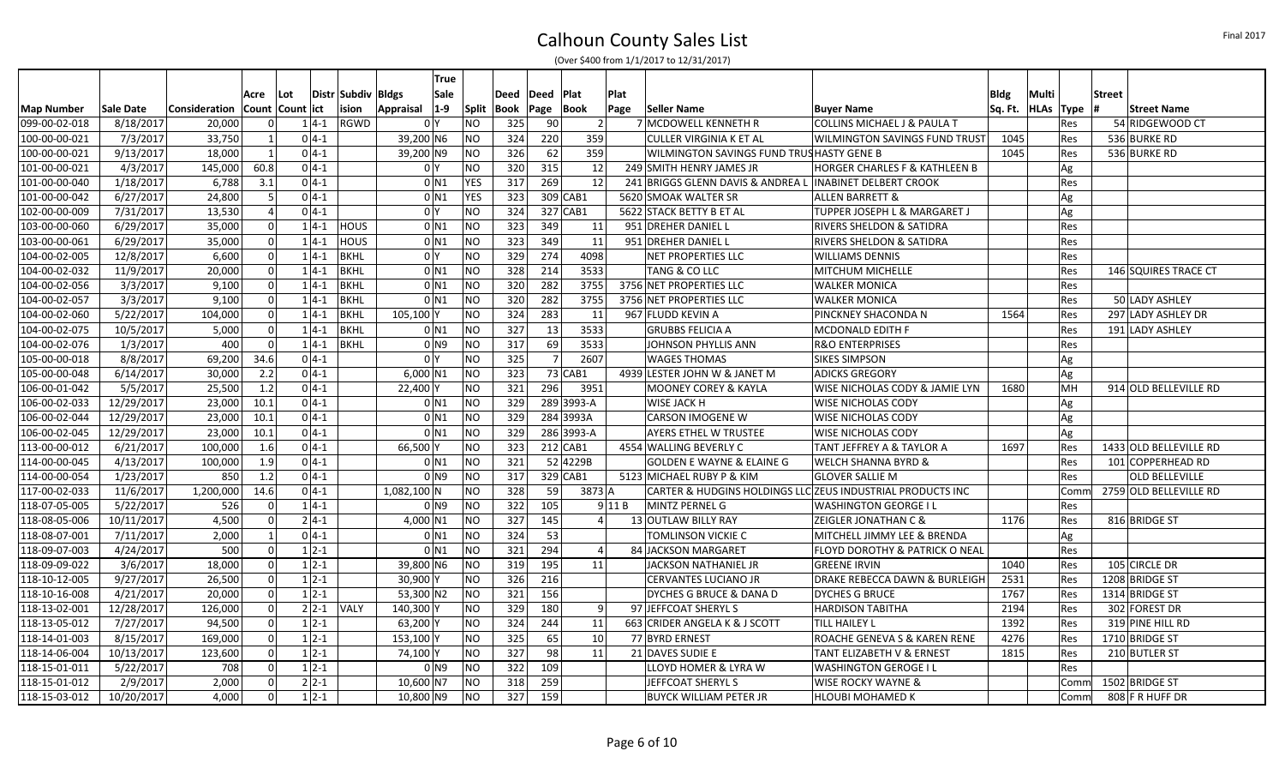|                   |            |               |          |                     |          |                    |                | <b>True</b>        |            |             |                |                |          |                                                            |                                          |             |                       |                        |
|-------------------|------------|---------------|----------|---------------------|----------|--------------------|----------------|--------------------|------------|-------------|----------------|----------------|----------|------------------------------------------------------------|------------------------------------------|-------------|-----------------------|------------------------|
|                   |            |               | Acre     | l Lot               |          | Distr Subdiv Bldgs |                | <b>Sale</b>        |            | <b>Deed</b> | Deed           | <b>Plat</b>    | Plat     |                                                            |                                          | <b>Bldg</b> | Multi                 | <b>Street</b>          |
| <b>Map Number</b> | Sale Date  | Consideration |          | Count   Count   ict |          | ision              | Appraisal      | $ 1-9 $            | Split      | Book        | Page Book      |                | Page     | Seller Name                                                | <b>Buyer Name</b>                        |             | Sq. Ft.   HLAs   Type | <b>Street Name</b>     |
| 099-00-02-018     | 8/18/2017  | 20,000        | $\Omega$ |                     | $1 4-1$  | <b>RGWD</b>        |                | 0 Y                | NΟ         | 325         | 90             | 2 <sup>1</sup> |          | 7 MCDOWELL KENNETH R                                       | <b>COLLINS MICHAEL J &amp; PAULA T</b>   |             | Res                   | 54 RIDGEWOOD CT        |
| 100-00-00-021     | 7/3/2017   | 33,750        |          |                     | $0 4-1 $ |                    | 39,200 N6      |                    | NΟ         | 324         | 220            | 359            |          | <b>CULLER VIRGINIA K ET AL</b>                             | WILMINGTON SAVINGS FUND TRUST            | 1045        | Res                   | 536 BURKE RD           |
| 100-00-00-021     | 9/13/2017  | 18,000        |          |                     | $0 4-1$  |                    | 39,200 N9      |                    | NO         | 326         | 62             | 359            |          | WILMINGTON SAVINGS FUND TRUSHASTY GENE B                   |                                          | 1045        | Res                   | 536 BURKE RD           |
| 101-00-00-021     | 4/3/2017   | 145,000       | 60.8     |                     | $0 4-1 $ |                    | 0 Y            |                    | NO         | 320         | 315            | 12             |          | 249 SMITH HENRY JAMES JR                                   | <b>HORGER CHARLES F &amp; KATHLEEN B</b> |             | Ag                    |                        |
| 101-00-00-040     | 1/18/2017  | 6,788         | 3.1      |                     | $0 4-1 $ |                    |                | 0 <sub>N1</sub>    | <b>YES</b> | 317         | 269            | 12             |          | 241 BRIGGS GLENN DAVIS & ANDREA L                          | <b>INABINET DELBERT CROOK</b>            |             | Res                   |                        |
| 101-00-00-042     | 6/27/2017  | 24,800        | -5       |                     | $0 4-1 $ |                    |                | 0 <sub>N1</sub>    | <b>YES</b> | 323         | 309 CAB1       |                |          | 5620 SMOAK WALTER SR                                       | <b>ALLEN BARRETT &amp;</b>               |             | Ag                    |                        |
| 102-00-00-009     | 7/31/2017  | 13,530        |          |                     | $0 4-1 $ |                    | 0 <sup>Y</sup> |                    | NO         | 324         | $327$ CAB1     |                |          | 5622 STACK BETTY B ET AL                                   | TUPPER JOSEPH L & MARGARET J             |             | Ag                    |                        |
| 103-00-00-060     | 6/29/2017  | 35,000        |          | $\Omega$            | $1 4-1 $ | <b>HOUS</b>        |                | 0 N1               | NO         | 323         | 349            | 11             |          | 951 DREHER DANIEL L                                        | RIVERS SHELDON & SATIDRA                 |             | Res                   |                        |
| 103-00-00-061     | 6/29/2017  | 35,000        |          | $\mathbf 0$         | $1 4-1 $ | <b>HOUS</b>        |                | 0 N1               | NO         | 323         | 349            | 11             |          | 951 DREHER DANIEL L                                        | RIVERS SHELDON & SATIDRA                 |             | Res                   |                        |
| 104-00-02-005     | 12/8/2017  | 6,600         | $\Omega$ |                     | $1 4-1 $ | <b>BKHL</b>        | 0 <sup>1</sup> |                    | NO         | 329         | 274            | 4098           |          | NET PROPERTIES LLC                                         | <b>WILLIAMS DENNIS</b>                   |             | Res                   |                        |
| 104-00-02-032     | 11/9/2017  | 20,000        |          | $\Omega$            | $1 4-1$  | <b>BKHL</b>        |                | 0 <sub>N1</sub>    | ΝO         | 328         | 214            | 3533           |          | <b>TANG &amp; CO LLC</b>                                   | MITCHUM MICHELLE                         |             | Res                   | 146 SQUIRES TRACE CT   |
| 104-00-02-056     | 3/3/2017   | 9,100         |          | $\Omega$            | $1 4-1 $ | <b>BKHL</b>        |                | $0$ N <sub>1</sub> | NO         | 320         | 282            | 3755           |          | 3756 NET PROPERTIES LLC                                    | <b>WALKER MONICA</b>                     |             | Res                   |                        |
| 104-00-02-057     | 3/3/2017   | 9,100         |          | $\mathbf 0$         | $1 4-1 $ | <b>BKHL</b>        |                | 0 <sub>N1</sub>    | ΝO         | 320         | 282            | 3755           |          | 3756 NET PROPERTIES LLC                                    | <b>WALKER MONICA</b>                     |             | Res                   | 50 LADY ASHLEY         |
| 104-00-02-060     | 5/22/2017  | 104,000       | $\Omega$ |                     | $1 4-1$  | <b>BKHL</b>        | 105,100 Y      |                    | ΝO         | 324         | 283            | 11             |          | 967 FLUDD KEVIN A                                          | PINCKNEY SHACONDA N                      | 1564        | Res                   | 297 LADY ASHLEY DR     |
| 104-00-02-075     | 10/5/2017  | 5,000         | $\Omega$ |                     | $1 4-1$  | <b>BKHL</b>        |                | 0 <sub>N1</sub>    | NO         | 327         | 13             | 3533           |          | <b>GRUBBS FELICIA A</b>                                    | MCDONALD EDITH F                         |             | Res                   | 191 LADY ASHLEY        |
| 104-00-02-076     | 1/3/2017   | 400           | $\Omega$ |                     | $1 4-1 $ | <b>BKHL</b>        |                | 0 <sub>N9</sub>    | ΝO         | 317         | 69             | 3533           |          | JOHNSON PHYLLIS ANN                                        | <b>R&amp;O ENTERPRISES</b>               |             | Res                   |                        |
| 105-00-00-018     | 8/8/2017   | 69,200        | 34.6     |                     | $0 4-1 $ |                    | 0 <sup>1</sup> |                    | NO         | 325         | $\overline{7}$ | 2607           |          | <b>WAGES THOMAS</b>                                        | <b>SIKES SIMPSON</b>                     |             | Ag                    |                        |
| 105-00-00-048     | 6/14/2017  | 30,000        | 2.2      |                     | $0 4-1 $ |                    | $6,000$ N1     |                    | NO         | 323         |                | $73$ CAB1      |          | 4939 LESTER JOHN W & JANET M                               | <b>ADICKS GREGORY</b>                    |             | Ag                    |                        |
| 106-00-01-042     | 5/5/2017   | 25,500        | 1.2      |                     | $0 4-1 $ |                    | 22,400 Y       |                    | <b>NO</b>  | 321         | 296            | 3951           |          | <b>MOONEY COREY &amp; KAYLA</b>                            | WISE NICHOLAS CODY & JAMIE LYN           | 1680        | MH                    | 914 OLD BELLEVILLE RD  |
| 106-00-02-033     | 12/29/2017 | 23,000        | 10.1     |                     | $0 4-1 $ |                    |                | 0 <sub>N1</sub>    | NO         | 329         |                | 2893993-A      |          | WISE JACK H                                                | <b>WISE NICHOLAS CODY</b>                |             | Ag                    |                        |
| 106-00-02-044     | 12/29/2017 | 23,000        | 10.1     |                     | $0 4-1 $ |                    |                | $0$ N <sub>1</sub> | NO         | 329         |                | 284 3993A      |          | <b>CARSON IMOGENE W</b>                                    | <b>WISE NICHOLAS CODY</b>                |             | Ag                    |                        |
| 106-00-02-045     | 12/29/2017 | 23,000        | 10.1     |                     | $0 4-1 $ |                    |                | 0 <sub>N1</sub>    | NO         | 329         |                | 286 3993-A     |          | AYERS ETHEL W TRUSTEE                                      | WISE NICHOLAS CODY                       |             | Ag                    |                        |
| 113-00-00-012     | 6/21/2017  | 100,000       | 1.6      |                     | $0 4-1 $ |                    | 66,500 Y       |                    | ΝO         | 323         | $212$ CAB1     |                |          | 4554 WALLING BEVERLY C                                     | TANT JEFFREY A & TAYLOR A                | 1697        | Res                   | 1433 OLD BELLEVILLE RD |
| 114-00-00-045     | 4/13/2017  | 100,000       | 1.9      |                     | $0 4-1 $ |                    |                | 0 N1               | NO         | 321         |                | 52 4229B       |          | <b>GOLDEN E WAYNE &amp; ELAINE G</b>                       | <b>WELCH SHANNA BYRD &amp;</b>           |             | Res                   | 101 COPPERHEAD RD      |
| 114-00-00-054     | 1/23/2017  | 850           | 1.2      |                     | $0 4-1 $ |                    |                | 0 <sub>N9</sub>    | NO         | 317         | $329$ CAB1     |                |          | 5123 MICHAEL RUBY P & KIM                                  | <b>GLOVER SALLIE M</b>                   |             | Res                   | <b>OLD BELLEVILLE</b>  |
| 117-00-02-033     | 11/6/2017  | 1,200,000     | 14.6     |                     | $0 4-1 $ |                    | $1,082,100$ N  |                    | NO         | 328         | 59             | 3873 A         |          | CARTER & HUDGINS HOLDINGS LLC ZEUS INDUSTRIAL PRODUCTS INC |                                          |             | Comn                  | 2759 OLD BELLEVILLE RD |
| 118-07-05-005     | 5/22/2017  | 526           | $\Omega$ |                     | $1 4-1 $ |                    |                | 0 N9               | NO         | 322         | 105            |                | $9$ 11 B | MINTZ PERNEL G                                             | <b>WASHINGTON GEORGE I L</b>             |             | Res                   |                        |
| 118-08-05-006     | 10/11/2017 | 4,500         | $\Omega$ |                     | $2 4-1 $ |                    | 4,000 N1       |                    | NΟ         | 327         | 145            | $\mathbf{4}$   |          | 13 OUTLAW BILLY RAY                                        | ZEIGLER JONATHAN C &                     | 1176        | Res                   | 816 BRIDGE ST          |
| 118-08-07-001     | 7/11/2017  | 2,000         |          |                     | $0 4-1$  |                    |                | 0 N1               | NO         | 324         | 53             |                |          | TOMLINSON VICKIE C                                         | MITCHELL JIMMY LEE & BRENDA              |             | Ag                    |                        |
| 118-09-07-003     | 4/24/2017  | 500           | $\Omega$ |                     | $1 2-1$  |                    |                | $0$ N <sub>1</sub> | NO         | 321         | 294            | $\overline{a}$ |          | 84 JACKSON MARGARET                                        | FLOYD DOROTHY & PATRICK O NEAL           |             | <b>Res</b>            |                        |
| 118-09-09-022     | 3/6/2017   | 18,000        |          | $\Omega$            | $1 2-1 $ |                    | 39,800 N6      |                    | NO         | 319         | 195            | 11             |          | <b>JACKSON NATHANIEL JR</b>                                | <b>GREENE IRVIN</b>                      | 1040        | Res                   | 105 CIRCLE DR          |
| 118-10-12-005     | 9/27/2017  | 26,500        |          | $\Omega$            | $1 2-1$  |                    | 30,900 Y       |                    | NO         | 326         | 216            |                |          | CERVANTES LUCIANO JR                                       | DRAKE REBECCA DAWN & BURLEIGH            | 2531        | Res                   | 1208 BRIDGE ST         |
| 118-10-16-008     | 4/21/2017  | 20,000        | $\Omega$ |                     | $1 2-1 $ |                    | $53,300$ N2    |                    | NO         | 321         | 156            |                |          | DYCHES G BRUCE & DANA D                                    | <b>DYCHES G BRUCE</b>                    | 1767        | Res                   | 1314 BRIDGE ST         |
| 118-13-02-001     | 12/28/2017 | 126,000       |          | $\Omega$            | $2 2-1 $ | <b>VALY</b>        | 140,300Y       |                    | NO         | 329         | 180            | 9              |          | 97 JEFFCOAT SHERYL S                                       | <b>HARDISON TABITHA</b>                  | 2194        | Res                   | 302 FOREST DR          |
| 118-13-05-012     | 7/27/2017  | 94,500        |          | $\mathbf 0$         | $1 2-1$  |                    | $63,200$ Y     |                    | ΝO         | 324         | 244            | 11             |          | 663 CRIDER ANGELA K & J SCOTT                              | TILL HAILEY L                            | 1392        | Res                   | 319 PINE HILL RD       |
| 118-14-01-003     | 8/15/2017  | 169,000       | $\Omega$ |                     | $1 2-1$  |                    | 153,100 Y      |                    | NO         | 325         | 65             | 10             |          | 77 BYRD ERNEST                                             | ROACHE GENEVA S & KAREN RENE             | 4276        | Res                   | 1710 BRIDGE ST         |
| 118-14-06-004     | 10/13/2017 | 123,600       |          | $\Omega$            | $1 2-1$  |                    | 74,100 Y       |                    | ΝO         | 327         | 98             | 11             |          | 21 DAVES SUDIE E                                           | <b>TANT ELIZABETH V &amp; ERNEST</b>     | 1815        | Res                   | 210 BUTLER ST          |
| 118-15-01-011     | 5/22/2017  | 708           |          | $\Omega$            | $1 2-1 $ |                    |                | $0$ N <sub>9</sub> | ΝO         | 322         | 109            |                |          | LLOYD HOMER & LYRA W                                       | <b>WASHINGTON GEROGE I L</b>             |             | Res                   |                        |
| 118-15-01-012     | 2/9/2017   | 2,000         | $\Omega$ |                     | $2 2-1 $ |                    | 10,600 N7      |                    | ΝO         | 318         | 259            |                |          | JEFFCOAT SHERYL S                                          | WISE ROCKY WAYNE &                       |             | Comm                  | 1502 BRIDGE ST         |
| 118-15-03-012     | 10/20/2017 | 4,000         | $\Omega$ |                     | $1 2-1$  |                    | $10,800$ N9    |                    | NO         | 327         | 159            |                |          | <b>BUYCK WILLIAM PETER JR</b>                              | <b>HLOUBI MOHAMED K</b>                  |             | Comm                  | 808 F R HUFF DR        |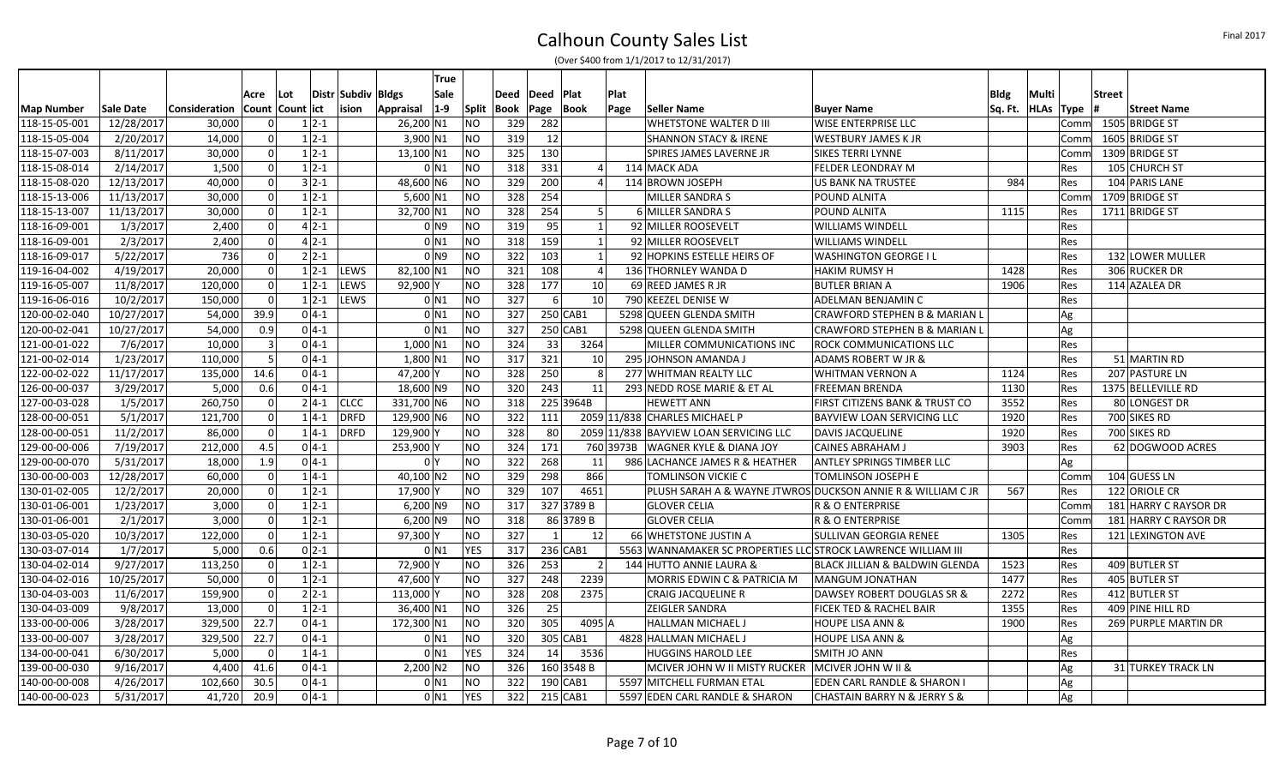Calhoun County Sales List (Over \$400 from 1/1/2017 to 12/31/2017)

|                   |            |                                     |           |     |          |                    |            | True              |            |             |              |                         |           |                                                               |                                                             |             |                       |               |                       |
|-------------------|------------|-------------------------------------|-----------|-----|----------|--------------------|------------|-------------------|------------|-------------|--------------|-------------------------|-----------|---------------------------------------------------------------|-------------------------------------------------------------|-------------|-----------------------|---------------|-----------------------|
|                   |            |                                     | Acre      | Lot |          | Distr Subdiv Bldgs |            | Sale              |            | Deed        | Deed   Plat  |                         | Plat      |                                                               |                                                             | <b>Bldg</b> | Multi                 | <b>Street</b> |                       |
| <b>Map Number</b> | Sale Date  | Consideration   Count   Count   ict |           |     |          | ision              | Appraisal  | $1-9$             | Split      | <b>Book</b> | Page         | Book                    | Page      | Seller Name                                                   | <b>Buyer Name</b>                                           |             | Sq. Ft.   HLAs   Type |               | <b>Street Name</b>    |
| 118-15-05-001     | 12/28/2017 | 30,000                              | -ol       |     | $1 2-1$  |                    | 26,200 N1  |                   | ΝO         | 329         | 282          |                         |           | <b>WHETSTONE WALTER D III</b>                                 | WISE ENTERPRISE LLC                                         |             | Comm                  |               | 1505 BRIDGE ST        |
| 118-15-05-004     | 2/20/2017  | 14,000                              | -ol       |     | $1 2-1$  |                    | $3,900$ N1 |                   | NO         | 319         | 12           |                         |           | <b>SHANNON STACY &amp; IRENE</b>                              | <b>WESTBURY JAMES K JR</b>                                  |             | Comm                  |               | 1605 BRIDGE ST        |
| 118-15-07-003     | 8/11/2017  | 30,000                              | -ol       |     | $1 2-1$  |                    | 13,100 N1  |                   | NO         | 325         | 130          |                         |           | SPIRES JAMES LAVERNE JR                                       | <b>SIKES TERRI LYNNE</b>                                    |             | Comn                  |               | 1309 BRIDGE ST        |
| 118-15-08-014     | 2/14/2017  | 1,500                               | -ol       |     | $1 2-1$  |                    |            | $0$ N1            | NO         | 318         | 331          |                         |           | 114 MACK ADA                                                  | <b>FELDER LEONDRAY M</b>                                    |             | Res                   |               | 105 CHURCH ST         |
| 118-15-08-020     | 12/13/2017 | 40,000                              | -ol       |     | $3 2-1$  |                    | 48,600 N6  |                   | NO         | 329         | 200          |                         |           | 114 BROWN JOSEPH                                              | <b>US BANK NA TRUSTEE</b>                                   | 984         | Res                   |               | 104 PARIS LANE        |
| 118-15-13-006     | 11/13/2017 | 30,000                              | -ol       |     | $1 2-1$  |                    | $5,600$ N1 |                   | NO         | 328         | 254          |                         |           | MILLER SANDRA S                                               | POUND ALNITA                                                |             | Comn                  |               | 1709 BRIDGE ST        |
| 118-15-13-007     | 11/13/2017 | 30,000                              | -ol       |     | $1 2-1$  |                    | 32,700 N1  |                   | NO         | 328         | 254          | -5                      |           | 6 MILLER SANDRA S                                             | POUND ALNITA                                                | 1115        | Res                   |               | 1711 BRIDGE ST        |
| 118-16-09-001     | 1/3/2017   | 2,400                               | 0         |     | $4 2-1 $ |                    |            | 0 N 9             | NO         | 319         | 95           |                         |           | 92 MILLER ROOSEVELT                                           | <b>WILLIAMS WINDELL</b>                                     |             | Res                   |               |                       |
| 118-16-09-001     | 2/3/2017   | 2,400                               | -ol       |     | $4 2-1 $ |                    |            | $0$ N1            | <b>NO</b>  | 318         | 159          |                         |           | 92 MILLER ROOSEVELT                                           | <b>WILLIAMS WINDELL</b>                                     |             | Res                   |               |                       |
| 118-16-09-017     | 5/22/2017  | 736                                 | 0         |     | $2 2-1 $ |                    |            | 0 N9              | <b>NO</b>  | 322         | 103          | $\overline{\mathbf{1}}$ |           | 92 HOPKINS ESTELLE HEIRS OF                                   | <b>WASHINGTON GEORGE I L</b>                                |             | Res                   |               | 132 LOWER MULLER      |
| 119-16-04-002     | 4/19/2017  | 20,000                              | 0         |     | $1 2-1 $ | LEWS               | 82,100 N1  |                   | <b>NO</b>  | 321         | 108          |                         |           | 136 THORNLEY WANDA D                                          | <b>HAKIM RUMSY H</b>                                        | 1428        | Res                   |               | 306 RUCKER DR         |
| 119-16-05-007     | 11/8/2017  | 120,000                             | 0         |     | $1 2-1$  | LEWS               | 92,900 Y   |                   | ΝO         | 328         | 177          | 10                      |           | 69 REED JAMES R JR                                            | <b>BUTLER BRIAN A</b>                                       | 1906        | Res                   |               | 114 AZALEA DR         |
| 119-16-06-016     | 10/2/2017  | 150,000                             | $\Omega$  |     | $1 2-1$  | LEWS               |            | $0$ N1            | <b>NO</b>  | 327         | $6 \mid$     | 10                      |           | 790 KEEZEL DENISE W                                           | ADELMAN BENJAMIN C                                          |             | Res                   |               |                       |
| 120-00-02-040     | 10/27/2017 | 54,000                              | 39.9      |     | $0 4-1$  |                    |            | $0$ <sub>N1</sub> | <b>NO</b>  | 327         |              | 250 CAB1                |           | 5298 QUEEN GLENDA SMITH                                       | CRAWFORD STEPHEN B & MARIAN L                               |             | Ag                    |               |                       |
| 120-00-02-041     | 10/27/2017 | 54,000                              | 0.9       |     | $0 4-1 $ |                    |            | 0 N 1             | NO         | 327         |              | $250$ CAB1              |           | 5298 QUEEN GLENDA SMITH                                       | CRAWFORD STEPHEN B & MARIAN L                               |             | Ag                    |               |                       |
| 121-00-01-022     | 7/6/2017   | 10,000                              | $\vert$ 3 |     | $0 4-1 $ |                    | $1,000$ N1 |                   | NΟ         | 324         | 33           | 3264                    |           | MILLER COMMUNICATIONS INC                                     | ROCK COMMUNICATIONS LLC                                     |             | Res                   |               |                       |
| 121-00-02-014     | 1/23/2017  | 110,000                             | 5         |     | $0 4-1 $ |                    | 1,800 N1   |                   | NO         | 317         | 321          | 10                      |           | 295 JOHNSON AMANDA J                                          | ADAMS ROBERT W JR &                                         |             | <b>Res</b>            |               | 51 MARTIN RD          |
| 122-00-02-022     | 11/17/2017 | 135,000                             | 14.6      |     | $0 4-1 $ |                    | 47,200Y    |                   | NΟ         | 328         | 250          |                         |           | 277 WHITMAN REALTY LLC                                        | <b>WHITMAN VERNON A</b>                                     | 1124        | Res                   |               | 207 PASTURE LN        |
| 126-00-00-037     | 3/29/2017  | 5,000                               | 0.6       |     | $0 4-1 $ |                    | 18,600 N9  |                   | NO         | 320         | 243          | 11                      |           | 293 NEDD ROSE MARIE & ET AL                                   | <b>FREEMAN BRENDA</b>                                       | 1130        | Res                   |               | 1375 BELLEVILLE RD    |
| 127-00-03-028     | 1/5/2017   | 260,750                             | 0         |     |          | $2 4-1 $ CLCC      | 331,700 N6 |                   | NΟ         | 318         |              | 225 3964B               |           | <b>HEWETT ANN</b>                                             | FIRST CITIZENS BANK & TRUST CO                              | 3552        | Res                   |               | 80 LONGEST DR         |
| 128-00-00-051     | 5/1/2017   | 121,700                             | 0         |     | $1 4-1 $ | DRFD               | 129,900 N6 |                   | NO         | 322         | 111          |                         |           | 2059 11/838 CHARLES MICHAEL P                                 | BAYVIEW LOAN SERVICING LLC                                  | 1920        | Res                   |               | 700 SIKES RD          |
| 128-00-00-051     | 11/2/2017  | 86,000                              | -ol       |     | $1 4-1$  | DRFD               | 129,900 Y  |                   | NO         | 328         | 80           |                         |           | 2059 11/838 BAYVIEW LOAN SERVICING LLC                        | <b>DAVIS JACQUELINE</b>                                     | 1920        | <b>Res</b>            |               | 700 SIKES RD          |
| 129-00-00-006     | 7/19/2017  | 212,000                             | 4.5       |     | $0 4-1 $ |                    | 253,900 Y  |                   | NO         | 324         | 171          |                         | 760 3973B | <b>WAGNER KYLE &amp; DIANA JOY</b>                            | <b>CAINES ABRAHAM J</b>                                     | 3903        | Res                   |               | 62 DOGWOOD ACRES      |
| 129-00-00-070     | 5/31/2017  | 18,000                              | 1.9       |     | $0 4-1 $ |                    |            | 0 <sup>1</sup>    | NO         | 322         | 268          | 11                      |           | 986 LACHANCE JAMES R & HEATHER                                | ANTLEY SPRINGS TIMBER LLC                                   |             | Ag                    |               |                       |
| 130-00-00-003     | 12/28/2017 | 60,000                              | -ol       |     | $1 4-1$  |                    | 40,100 N2  |                   | <b>NO</b>  | 329         | 298          | 866                     |           | TOMLINSON VICKIE C                                            | TOMLINSON JOSEPH E                                          |             | Comn                  |               | 104 GUESS LN          |
| 130-01-02-005     | 12/2/2017  | 20,000                              | -ol       |     | $1 2-1$  |                    | 17,900 Y   |                   | NO         | 329         | 107          | 4651                    |           |                                                               | PLUSH SARAH A & WAYNE JTWROS DUCKSON ANNIE R & WILLIAM C JR | 567         | Res                   |               | 122 ORIOLE CR         |
| 130-01-06-001     | 1/23/2017  | 3,000                               | 0         |     | $1 2-1$  |                    | $6,200$ N9 |                   | NO         | 317         |              | 327 3789 B              |           | <b>GLOVER CELIA</b>                                           | R & O ENTERPRISE                                            |             | Comn                  |               | 181 HARRY C RAYSOR DR |
| 130-01-06-001     | 2/1/2017   | 3,000                               | 0         |     | $1 2-1$  |                    | $6,200$ N9 |                   | NO         | 318         |              | 86 3789 B               |           | <b>GLOVER CELIA</b>                                           | R & O ENTERPRISE                                            |             | Comn                  |               | 181 HARRY C RAYSOR DR |
| 130-03-05-020     | 10/3/2017  | 122,000                             | 0         |     | $1 2-1$  |                    | 97,300 Y   |                   | NO         | 327         | $\mathbf{1}$ | 12                      |           | 66 WHETSTONE JUSTIN A                                         | SULLIVAN GEORGIA RENEE                                      | 1305        | Res                   |               | 121 LEXINGTON AVE     |
| 130-03-07-014     | 1/7/2017   | 5,000                               | 0.6       |     | $0 2-1$  |                    |            | $0$ <sub>N1</sub> | <b>YES</b> | 317         |              | 236 CAB1                |           | 5563 WANNAMAKER SC PROPERTIES LLC STROCK LAWRENCE WILLIAM III |                                                             |             | Res                   |               |                       |
| 130-04-02-014     | 9/27/2017  | 113,250                             | 0         |     | $1 2-1$  |                    | 72,900 Y   |                   | NO         | 326         | 253          |                         |           | 144 HUTTO ANNIE LAURA &                                       | BLACK JILLIAN & BALDWIN GLENDA                              | 1523        | Res                   |               | 409 BUTLER ST         |
| 130-04-02-016     | 10/25/2017 | 50,000                              | -ol       |     | $1 2-1$  |                    | 47,600Y    |                   | NO         | 327         | 248          | 2239                    |           | MORRIS EDWIN C & PATRICIA M                                   | MANGUM JONATHAN                                             | 1477        | Res                   |               | 405 BUTLER ST         |
| 130-04-03-003     | 11/6/2017  | 159,900                             | 0         |     | $2 2-1 $ |                    | 113,000 Y  |                   | <b>NO</b>  | 328         | 208          | 2375                    |           | <b>CRAIG JACQUELINE R</b>                                     | DAWSEY ROBERT DOUGLAS SR &                                  | 2272        | Res                   |               | 412 BUTLER ST         |
| 130-04-03-009     | 9/8/2017   | 13,000                              | -ol       |     | $1 2-1$  |                    | 36,400 N1  |                   | NO         | 326         | 25           |                         |           | ZEIGLER SANDRA                                                | FICEK TED & RACHEL BAIR                                     | 1355        | Res                   |               | 409 PINE HILL RD      |
| 133-00-00-006     | 3/28/2017  | 329,500                             | 22.7      |     | $0 4-1$  |                    | 172,300 N1 |                   | ΝO         | 320         | 305          | 4095 A                  |           | HALLMAN MICHAEL J                                             | <b>HOUPE LISA ANN &amp;</b>                                 | 1900        | Res                   |               | 269 PURPLE MARTIN DR  |
| 133-00-00-007     | 3/28/2017  | 329,500                             | 22.7      |     | $0 4-1 $ |                    |            | $0$ N1            | ΝO         | 320         |              | 305 CAB1                |           | 4828 HALLMAN MICHAEL J                                        | <b>HOUPE LISA ANN &amp;</b>                                 |             | Ag                    |               |                       |
| 134-00-00-041     | 6/30/2017  | 5,000                               | $\Omega$  |     | $1 4-1$  |                    |            | $0$ N1            | <b>YES</b> | 324         | 14           | 3536                    |           | <b>HUGGINS HAROLD LEE</b>                                     | SMITH JO ANN                                                |             | Res                   |               |                       |
| 139-00-00-030     | 9/16/2017  | 4,400                               | 41.6      |     | $0 4-1 $ |                    | 2,200 N2   |                   | ΝO         | 326         |              | 160 3548 B              |           | MCIVER JOHN W II MISTY RUCKER                                 | MCIVER JOHN W II &                                          |             | Ag                    |               | 31 TURKEY TRACK LN    |
| 140-00-00-008     | 4/26/2017  | 102,660                             | 30.5      |     | $0 4-1$  |                    |            | 0 N1              | ΝO         | 322         |              | 190 CAB1                |           | 5597 MITCHELL FURMAN ETAL                                     | EDEN CARL RANDLE & SHARON I                                 |             | Ag                    |               |                       |
| 140-00-00-023     | 5/31/2017  | 41,720                              | 20.9      |     | $0 4-1 $ |                    |            | 0 N1              | <b>YES</b> | 322         |              | 215 CAB1                |           | 5597 EDEN CARL RANDLE & SHARON                                | <b>CHASTAIN BARRY N &amp; JERRY S &amp;</b>                 |             | Ag                    |               |                       |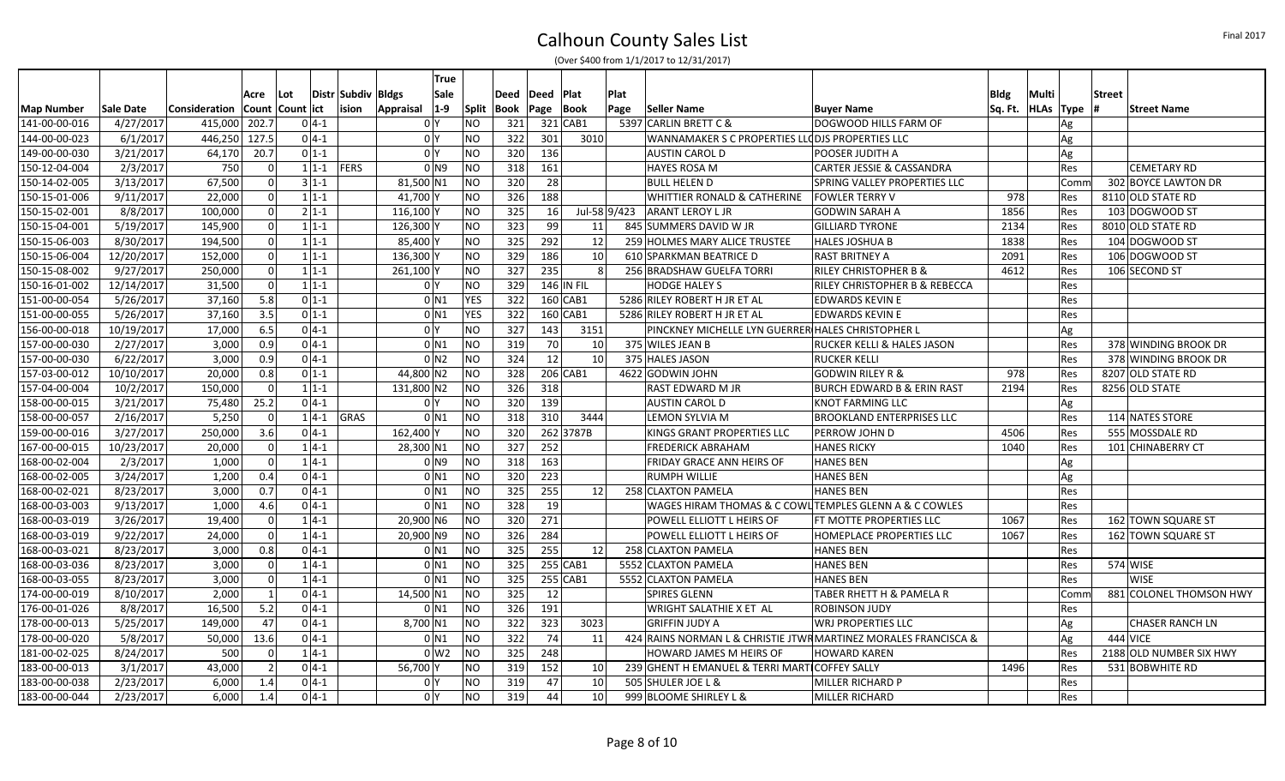|                   |                        |                      |            |                  |                      |                    |                      | True                             |                 |            |          |              |              |                                                        |                                                                 |             |                       |                           |
|-------------------|------------------------|----------------------|------------|------------------|----------------------|--------------------|----------------------|----------------------------------|-----------------|------------|----------|--------------|--------------|--------------------------------------------------------|-----------------------------------------------------------------|-------------|-----------------------|---------------------------|
|                   |                        |                      | Acre       | Lot              |                      | Distr Subdiv Bldgs |                      | Sale                             |                 | Deed       | Deed     | <b>Plat</b>  | Plat         |                                                        |                                                                 | <b>Bldg</b> | Multi                 | <b>Street</b>             |
| <b>Map Number</b> | Sale Date              | <b>Consideration</b> |            | Count Count lict |                      | ision              | Appraisal            | $ 1-9 $                          | <b>Split</b>    | Book       | Page     | ∣Book        | Page         | Seller Name                                            | <b>Buyer Name</b>                                               |             | Sq. Ft.   HLAs   Type | Street Name               |
| 141-00-00-016     | 4/27/2017              | 415,000              | 202.7      |                  | $0 4-1$              |                    |                      | 0 <sup>1</sup>                   | NO              | 321        |          | $321$ CAB1   |              | 5397 CARLIN BRETT C &                                  | DOGWOOD HILLS FARM OF                                           |             | Ag                    |                           |
| 144-00-00-023     | 6/1/2017               | 446,250              | 127.5      |                  | $0 4-1 $             |                    |                      | 0 <sup>1</sup>                   | NO              | 322        | 301      | 3010         |              | WANNAMAKER S C PROPERTIES LLODJS PROPERTIES LLC        |                                                                 |             | Ag                    |                           |
| 149-00-00-030     | 3/21/2017              | 64,170               | 20.7       |                  | $0 1-1$              |                    |                      | 0 <sup>1</sup>                   | NO              | 320        | 136      |              |              | <b>AUSTIN CAROL D</b>                                  | POOSER JUDITH A                                                 |             | Ag                    |                           |
| 150-12-04-004     | 2/3/2017               | 750                  |            | -ol              | $1 1-1 $ FERS        |                    |                      | $01$ N9                          | NO              | 318        | 161      |              |              | <b>HAYES ROSA M</b>                                    | CARTER JESSIE & CASSANDRA                                       |             | Res                   | <b>CEMETARY RD</b>        |
| 150-14-02-005     | 3/13/2017              | 67,500               |            | -OI              | $3 1-1$              |                    | 81,500 N1            |                                  | ΝO              | 320        | 28       |              |              | <b>BULL HELEN D</b>                                    | SPRING VALLEY PROPERTIES LLC                                    |             | Comn                  | 302 BOYCE LAWTON DR       |
| 150-15-01-006     | 9/11/2017              | 22,000               |            | $\Omega$         | $1 1-1$              |                    | 41,700 Y             |                                  | NO              | 326        | 188      |              |              | WHITTIER RONALD & CATHERINE                            | <b>FOWLER TERRY V</b>                                           | 978         | Res                   | 8110 OLD STATE RD         |
| 150-15-02-001     | 8/8/2017               | 100,000              |            | -ol              | $2 1-1 $             |                    | 116,100 Y            |                                  | NO              | 325        | 16       |              | Jul-58 9/423 | <b>ARANT LEROY L JR</b>                                | <b>GODWIN SARAH A</b>                                           | 1856        | Res                   | 103 DOGWOOD ST            |
| 150-15-04-001     | 5/19/2017              | 145,900              |            | -ol              | $1 1-1$              |                    | 126,300 Y            |                                  | NO              | 323        | 99       | 11           |              | 845 SUMMERS DAVID W JR                                 | <b>GILLIARD TYRONE</b>                                          | 2134        | Res                   | 8010 OLD STATE RD         |
| 150-15-06-003     | 8/30/2017              | 194,500              |            | 0                | $1 1-1$              |                    | 85,400               |                                  | <b>NO</b>       | 325        | 292      | 12           |              | 259 HOLMES MARY ALICE TRUSTEE                          | HALES JOSHUA B                                                  | 1838        | Res                   | 104 DOGWOOD ST            |
| 150-15-06-004     | 12/20/2017             | 152,000              |            | 0                | $1 1-1$              |                    | 136,300              |                                  | NO              | 329        | 186      | 10           |              | 610 SPARKMAN BEATRICE D                                | <b>RAST BRITNEY A</b>                                           | 2091        | Res                   | 106 DOGWOOD ST            |
| 150-15-08-002     | 9/27/2017              | 250,000              |            | $\Omega$         | $1 1-1$              |                    | 261,100 <sup>N</sup> |                                  | <b>NO</b>       | 327        | 235      |              |              | 256 BRADSHAW GUELFA TORRI                              | <b>RILEY CHRISTOPHER B &amp;</b>                                | 4612        | Res                   | 106 SECOND ST             |
| 150-16-01-002     | 12/14/2017             | 31,500               |            | -ol              | $1 1-1 $             |                    |                      | 0 <sup>Y</sup>                   | <b>NO</b>       | 329        |          | $146$ IN FIL |              | <b>HODGE HALEY S</b>                                   | RILEY CHRISTOPHER B & REBECCA                                   |             | Res                   |                           |
| 151-00-00-054     | 5/26/2017              | 37,160               | 5.8        |                  | $0 1-1$              |                    |                      | $0$ N1                           | <b>YES</b>      | 322        |          | $160$ CAB1   |              | 5286 RILEY ROBERT H JR ET AL                           | <b>EDWARDS KEVIN E</b>                                          |             | Res                   |                           |
| 151-00-00-055     | 5/26/2017              | 37,160               | 3.5        |                  | $0 1-1$              |                    |                      | $0$ N <sub>1</sub>               | <b>YES</b>      | 322        |          | $160$ CAB1   |              | 5286 RILEY ROBERT H JR ET AL                           | <b>EDWARDS KEVIN E</b>                                          |             | Res                   |                           |
| 156-00-00-018     | 10/19/2017             | 17,000               | 6.5        |                  | $0 4-1 $             |                    |                      | 0 Y                              | NO              | 327        | 143      | 3151         |              | PINCKNEY MICHELLE LYN GUERRER HALES CHRISTOPHER L      |                                                                 |             | Ag                    |                           |
| 157-00-00-030     | 2/27/2017              | 3,000                | 0.9        |                  | $0 4-1 $             |                    |                      | $0$ N1                           | <b>NO</b>       | 319        | 70       | 10           |              | 375 WILES JEAN B                                       | RUCKER KELLI & HALES JASON                                      |             | Res                   | 378 WINDING BROOK DR      |
| 157-00-00-030     | 6/22/2017              | 3,000                | 0.9        |                  | $0 4-1 $             |                    |                      | 0 <sub>N2</sub>                  | NO              | 324        | 12       | 10           |              | 375 HALES JASON                                        | <b>RUCKER KELLI</b>                                             |             | Res                   | 378 WINDING BROOK DR      |
| 157-03-00-012     | 10/10/2017             | 20,000               | 0.8        |                  | $0 1-1$              |                    | 44,800 N2            |                                  | NO              | 328        |          | 206 CAB1     |              | 4622 GODWIN JOHN                                       | <b>GODWIN RILEY R &amp;</b>                                     | 978         | Res                   | 8207 OLD STATE RD         |
| 157-04-00-004     | 10/2/2017              | 150,000              |            | -ol              | $1 1-1$              |                    | 131,800 N2           |                                  | NO              | 326        | 318      |              |              | RAST EDWARD M JR                                       | <b>BURCH EDWARD B &amp; ERIN RAST</b>                           | 2194        | Res                   | 8256 OLD STATE            |
| 158-00-00-015     | 3/21/2017              | 75,480               | 25.2       |                  | $0 4-1 $             |                    |                      | 0 <sup>1</sup>                   | NO              | 320        | 139      |              |              | <b>AUSTIN CAROL D</b>                                  | <b>KNOT FARMING LLC</b>                                         |             | Ag                    |                           |
| 158-00-00-057     | 2/16/2017              | 5,250                |            | $\mathbf 0$      | $1 4-1$              | GRAS               |                      | $0$ N1                           | <b>NO</b>       | 318        | 310      | 3444         |              | LEMON SYLVIA M                                         | <b>BROOKLAND ENTERPRISES LLC</b>                                |             | Res                   | 114 NATES STORE           |
| 159-00-00-016     | 3/27/2017              | 250,000              | 3.6        |                  | $0 4-1$              |                    | 162,400 Y            |                                  | NO              | 320        |          | 262 3787B    |              | KINGS GRANT PROPERTIES LLC                             | PERROW JOHN D                                                   | 4506        | <b>Res</b>            | 555 MOSSDALE RD           |
| 167-00-00-015     | 10/23/2017             | 20,000               |            | 0                | $1 4-1 $             |                    | 28,300 N1            |                                  | <b>NO</b>       | 327        | 252      |              |              | <b>FREDERICK ABRAHAM</b>                               | <b>HANES RICKY</b>                                              | 1040        | Res                   | 101 CHINABERRY CT         |
| 168-00-02-004     | 2/3/2017               | 1,000                |            | 0                | $1 4-1 $             |                    |                      | 0 <sub>1</sub>                   | <b>NO</b>       | 318        | 163      |              |              | FRIDAY GRACE ANN HEIRS OF                              | <b>HANES BEN</b>                                                |             | Ag                    |                           |
| 168-00-02-005     | 3/24/2017              | 1,200                | 0.4        |                  | $0 4-1$              |                    |                      | $0$ <sub>N1</sub>                | <b>NO</b>       | 320        | 223      |              |              | <b>RUMPH WILLIE</b>                                    | <b>HANES BEN</b>                                                |             | Ag                    |                           |
| 168-00-02-021     | 8/23/2017              | 3,000                | 0.7        |                  | $0 4-1 $             |                    |                      | 0 <sub>N1</sub>                  | <b>NO</b>       | 325        | 255      | 12           |              | 258 CLAXTON PAMELA                                     | <b>HANES BEN</b>                                                |             | Res                   |                           |
| 168-00-03-003     | 9/13/2017              | 1,000                | 4.6        |                  | $0 4-1 $             |                    |                      | 0 N 1                            | <b>NO</b>       | 328        | 19       |              |              | WAGES HIRAM THOMAS & C COWL TEMPLES GLENN A & C COWLES |                                                                 |             | Res                   |                           |
| 168-00-03-019     | 3/26/2017              | 19,400               |            | 0                | $1 4-1 $             |                    | 20,900 N6            |                                  | NO              | 320        | 271      |              |              | POWELL ELLIOTT L HEIRS OF                              | FT MOTTE PROPERTIES LLC                                         | 1067        | Res                   | 162 TOWN SQUARE ST        |
| 168-00-03-019     | 9/22/2017              | 24,000               |            | 0                | $1 4-1$              |                    | 20,900 N9            |                                  | NO              | 326        | 284      |              |              | POWELL ELLIOTT L HEIRS OF                              | HOMEPLACE PROPERTIES LLC                                        | 1067        | Res                   | <b>162 TOWN SQUARE ST</b> |
| 168-00-03-021     | 8/23/2017              | 3,000                | 0.8        |                  | $0 4-1 $             |                    |                      | $0$ N1                           | NO              | 325        | 255      | 12           |              | 258 CLAXTON PAMELA                                     | <b>HANES BEN</b>                                                |             | Res                   |                           |
| 168-00-03-036     | 8/23/2017              | 3,000                |            | -ol              | $1 4-1 $             |                    |                      | $0$ N1                           | NO              | 325        |          | 255 CAB1     |              | 5552 CLAXTON PAMELA                                    | <b>HANES BEN</b>                                                |             | Res                   | 574 WISE                  |
| 168-00-03-055     | 8/23/2017              | 3,000                |            | -ol              | $1 4-1$              |                    |                      | $0$ N1                           | NO              | 325        |          | 255 CAB1     |              | 5552 CLAXTON PAMELA                                    | <b>HANES BEN</b>                                                |             | <b>Res</b>            | <b>WISE</b>               |
| 174-00-00-019     | 8/10/2017              | 2,000                |            | 1                | $0 4-1$              |                    | 14,500 N1            |                                  | NO              | 325        | 12       |              |              | <b>SPIRES GLENN</b>                                    | <b>TABER RHETT H &amp; PAMELA R</b>                             |             | Comr                  | 881 COLONEL THOMSON HWY   |
| 176-00-01-026     | 8/8/2017               | 16,500               | 5.2        |                  | $0 4-1 $             |                    |                      | $0$ N1                           | N <sub>O</sub>  | 326        | 191      |              |              | WRIGHT SALATHIE X ET AL                                | <b>ROBINSON JUDY</b>                                            |             | Res                   |                           |
| 178-00-00-013     | 5/25/2017              | 149,000              |            | 47               | $0 4-1 $             |                    | 8,700 N1             |                                  | NO              | 322        | 323      | 3023         |              | <b>GRIFFIN JUDY A</b>                                  | <b>WRJ PROPERTIES LLC</b>                                       |             | Ag                    | <b>CHASER RANCH LN</b>    |
| 178-00-00-020     | 5/8/2017               | 50,000               | 13.6       |                  | $0 4-1$              |                    |                      | $0$ <sub>N1</sub>                | <b>NO</b>       | 322        | 74       | 11           |              |                                                        | 424 RAINS NORMAN L & CHRISTIE JTWR MARTINEZ MORALES FRANCISCA & |             | Ag                    | 444 VICE                  |
| 181-00-02-025     | 8/24/2017              | 500                  |            | -ol              | $1 4-1 $             |                    |                      | $0 \le 2$                        | <b>NO</b>       | 325        | 248      |              |              | <b>HOWARD JAMES M HEIRS OF</b>                         | <b>HOWARD KAREN</b>                                             |             | Res                   | 2188 OLD NUMBER SIX HWY   |
| 183-00-00-013     | 3/1/2017               | 43,000               |            | $\overline{2}$   | $0 4-1 $             |                    | 56,700               |                                  | NO              | 319        | 152      | 10           |              | 239 GHENT H EMANUEL & TERRI MART COFFEY SALLY          |                                                                 | 1496        | Res                   | 531 BOBWHITE RD           |
|                   |                        |                      |            |                  |                      |                    |                      |                                  |                 |            |          |              |              |                                                        |                                                                 |             |                       |                           |
| 183-00-00-044     |                        |                      |            |                  |                      |                    |                      |                                  |                 |            |          |              |              |                                                        |                                                                 |             |                       |                           |
| 183-00-00-038     | 2/23/2017<br>2/23/2017 | 6,000<br>6,000       | 1.4<br>1.4 |                  | $0 4-1 $<br>$0 4-1 $ |                    |                      | 0 <sup>N</sup><br>0 <sup>1</sup> | NO<br><b>NO</b> | 319<br>319 | 47<br>44 | 10<br>10     |              | 505 SHULER JOE L &<br>999 BLOOME SHIRLEY L &           | MILLER RICHARD P<br>MILLER RICHARD                              |             | Res<br>Res            |                           |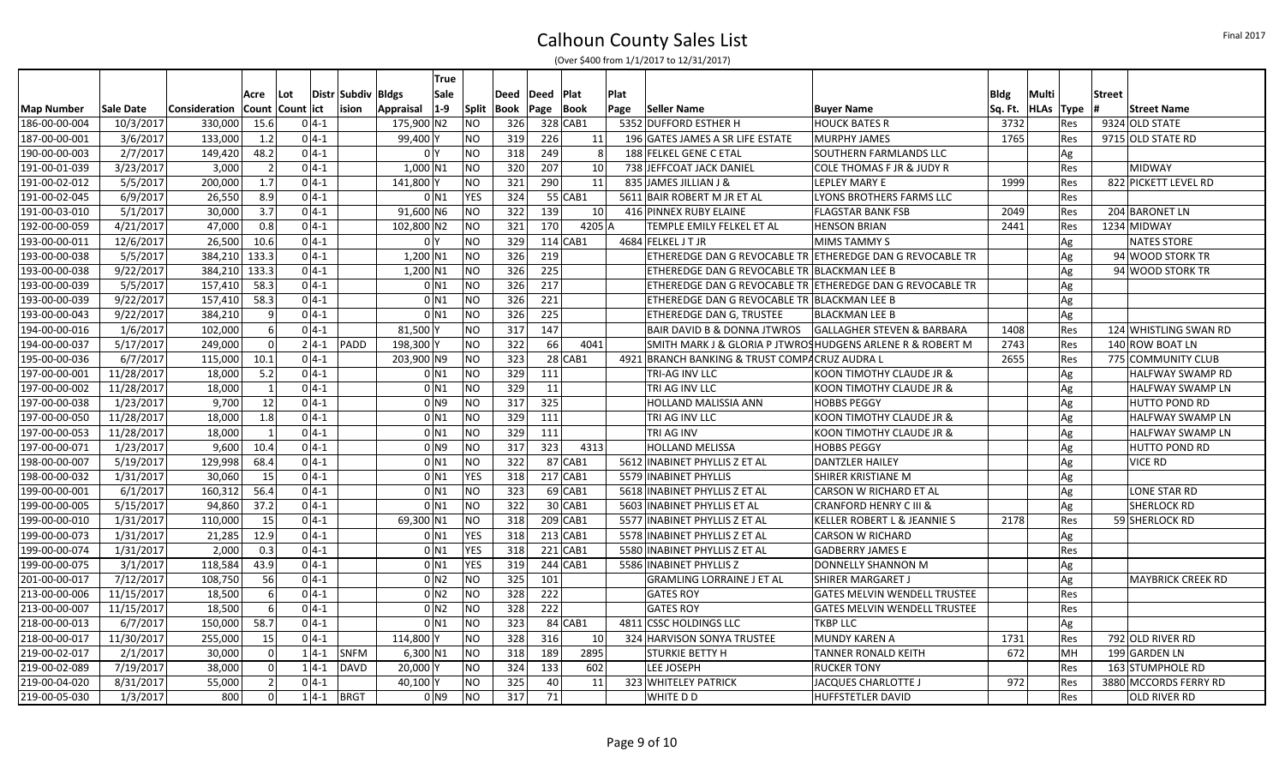|                   |            |                      |                |                   |          |                |                  | True               |                |      |                     |                 |      |                                                           |                                                           |         |             |            |               |                          |
|-------------------|------------|----------------------|----------------|-------------------|----------|----------------|------------------|--------------------|----------------|------|---------------------|-----------------|------|-----------------------------------------------------------|-----------------------------------------------------------|---------|-------------|------------|---------------|--------------------------|
|                   |            |                      | Acre           | Lot               |          | Distr   Subdiv | <b>Bldgs</b>     | Sale               |                | Deed | <b>Plat</b><br>Deed |                 | Plat |                                                           |                                                           | Bldg    | Multi       |            | <b>Street</b> |                          |
| <b>Map Number</b> | Sale Date  | <b>Consideration</b> |                | Count  Count  ict |          | lision         | Appraisal        | $ 1-9 $            | Split          | Book | Page                | Book            | Page | <b>Seller Name</b>                                        | <b>Buyer Name</b>                                         | Sq. Ft. | <b>HLAs</b> | Type       |               | <b>Street Name</b>       |
| 186-00-00-004     | 10/3/2017  | 330,000              | 15.6           |                   | $0 4-1 $ |                | 175,900 N2       |                    | NΟ             | 326  | 328 CAB1            |                 |      | 5352 DUFFORD ESTHER H                                     | <b>HOUCK BATES R</b>                                      | 3732    |             | Res        |               | 9324 OLD STATE           |
| 187-00-00-001     | 3/6/2017   | 133,000              | 1.2            |                   | $0 4-1 $ |                | 99,400 Y         |                    | NΟ             | 319  | 226                 | 11              |      | 196 GATES JAMES A SR LIFE ESTATE                          | MURPHY JAMES                                              | 1765    |             | Res        |               | 9715 OLD STATE RD        |
| 190-00-00-003     | 2/7/2017   | 149,420              | 48.2           |                   | $0 4-1$  |                |                  | 0 <sup>1</sup>     | <b>NO</b>      | 318  | 249                 |                 |      | 188 FELKEL GENE C ETAL                                    | <b>SOUTHERN FARMLANDS LLC</b>                             |         |             | Ag         |               |                          |
| 191-00-01-039     | 3/23/2017  | 3,000                | $\overline{2}$ |                   | $0 4-1 $ |                | $1,000$ N1       |                    | <b>NO</b>      | 320  | 207                 | 10              |      | 738 JEFFCOAT JACK DANIEL                                  | COLE THOMAS F JR & JUDY R                                 |         |             | Res        |               | <b>MIDWAY</b>            |
| 191-00-02-012     | 5/5/2017   | 200,000              | 1.7            |                   | $0 4-1 $ |                | 141,800          |                    | NO             | 321  | 290                 | 11              |      | 835 JAMES JILLIAN J &                                     | <b>LEPLEY MARY E</b>                                      | 1999    |             | Res        |               | 822 PICKETT LEVEL RD     |
| 191-00-02-045     | 6/9/2017   | 26,550               | 8.9            |                   | $0 4-1$  |                |                  | $0$ N1             | <b>YES</b>     | 324  | 55 CAB1             |                 |      | 5611 BAIR ROBERT M JR ET AL                               | LYONS BROTHERS FARMS LLC                                  |         |             | Res        |               |                          |
| 191-00-03-010     | 5/1/2017   | 30,000               | 3.7            |                   | $0 4-1$  |                | 91,600 N6        |                    | NO             | 322  | 139                 | 10 <sup>1</sup> |      | 416 PINNEX RUBY ELAINE                                    | <b>FLAGSTAR BANK FSB</b>                                  | 2049    |             | Res        |               | 204 BARONET LN           |
| 192-00-00-059     | 4/21/2017  | 47,000               | 0.8            |                   | $0 4-1 $ |                | 102,800 N2       |                    | NO             | 321  | 170                 | 4205 A          |      | TEMPLE EMILY FELKEL ET AL                                 | <b>HENSON BRIAN</b>                                       | 2441    |             | Res        |               | 1234 MIDWAY              |
| 193-00-00-011     | 12/6/2017  | 26,500               | 10.6           |                   | $0 4-1$  |                |                  | 0 <sup>1</sup>     | NΟ             | 329  | $114$ CAB1          |                 |      | 4684 FELKEL J T JR                                        | MIMS TAMMY S                                              |         |             | Ag         |               | <b>NATES STORE</b>       |
| 193-00-00-038     | 5/5/2017   | 384,210 133.3        |                |                   | $0 4-1$  |                | $1,200 \, \, N1$ |                    | NO             | 326  | 219                 |                 |      |                                                           | ETHEREDGE DAN G REVOCABLE TR ETHEREDGE DAN G REVOCABLE TR |         |             | Ag         |               | 94 WOOD STORK TR         |
| 193-00-00-038     | 9/22/2017  | 384,210 133.3        |                |                   | $0 4-1 $ |                | $1,200 \, \, N1$ |                    | <b>NO</b>      | 326  | 225                 |                 |      | ETHEREDGE DAN G REVOCABLE TR BLACKMAN LEE B               |                                                           |         |             | Ag         |               | 94 WOOD STORK TR         |
| 193-00-00-039     | 5/5/2017   | 157,410              | 58.3           |                   | $0 4-1 $ |                |                  | 0 <sub>N1</sub>    | <b>NO</b>      | 326  | 217                 |                 |      |                                                           | ETHEREDGE DAN G REVOCABLE TR ETHEREDGE DAN G REVOCABLE TR |         |             | Ag         |               |                          |
| 193-00-00-039     | 9/22/2017  | 157,410              | 58.3           |                   | $0 4-1$  |                |                  | $0$ <sub>N1</sub>  | <b>NO</b>      | 326  | 221                 |                 |      | ETHEREDGE DAN G REVOCABLE TR BLACKMAN LEE B               |                                                           |         |             | Ag         |               |                          |
| 193-00-00-043     | 9/22/2017  | 384,210              | 9              |                   | $0 4-1$  |                |                  | $0$ N1             | <b>NO</b>      | 326  | 225                 |                 |      | ETHEREDGE DAN G, TRUSTEE                                  | <b>BLACKMAN LEE B</b>                                     |         |             | Ag         |               |                          |
| 194-00-00-016     | 1/6/2017   | 102,000              | 6 <sup>1</sup> |                   | $0 4-1 $ |                | 81,500           |                    | <b>NO</b>      | 317  | 147                 |                 |      | <b>BAIR DAVID B &amp; DONNA JTWROS</b>                    | <b>GALLAGHER STEVEN &amp; BARBARA</b>                     | 1408    |             | Res        |               | 124 WHISTLING SWAN RD    |
| 194-00-00-037     | 5/17/2017  | 249,000              | 0              |                   | $2 4-1 $ | PADD           | 198,300 Y        |                    | <b>NO</b>      | 322  | 66                  | 4041            |      | SMITH MARK J & GLORIA P JTWROSHUDGENS ARLENE R & ROBERT M |                                                           | 2743    |             | <b>Res</b> |               | 140 ROW BOAT LN          |
| 195-00-00-036     | 6/7/2017   | 115,000              | 10.1           |                   | $0 4-1$  |                | 203,900 N9       |                    | <b>NO</b>      | 323  | $28$ CAB1           |                 |      | 4921 BRANCH BANKING & TRUST COMPACRUZ AUDRA L             |                                                           | 2655    |             | Res        |               | 775 COMMUNITY CLUB       |
| 197-00-00-001     | 11/28/2017 | 18,000               | 5.2            |                   | $0 4-1 $ |                |                  | $0$ N1             | <b>NO</b>      | 329  | 111                 |                 |      | TRI-AG INV LLC                                            | KOON TIMOTHY CLAUDE JR &                                  |         |             | Ag         |               | <b>HALFWAY SWAMP RD</b>  |
| 197-00-00-002     | 11/28/2017 | 18,000               | 1              |                   | $0 4-1 $ |                |                  | $0$ N <sub>1</sub> | <b>NO</b>      | 329  | 11                  |                 |      | TRI AG INV LLC                                            | KOON TIMOTHY CLAUDE JR &                                  |         |             | Ag         |               | <b>HALFWAY SWAMP LN</b>  |
| 197-00-00-038     | 1/23/2017  | 9,700                | 12             |                   | $0 4-1$  |                |                  | 0 N 9              | <b>NO</b>      | 317  | 325                 |                 |      | HOLLAND MALISSIA ANN                                      | <b>HOBBS PEGGY</b>                                        |         |             | Ag         |               | <b>HUTTO POND RD</b>     |
| 197-00-00-050     | 11/28/2017 | 18,000               | 1.8            |                   | $0 4-1 $ |                |                  | $0$ N1             | <b>NO</b>      | 329  | 111                 |                 |      | TRI AG INV LLC                                            | KOON TIMOTHY CLAUDE JR &                                  |         |             | Ag         |               | <b>HALFWAY SWAMP LN</b>  |
| 197-00-00-053     | 11/28/2017 | 18,000               | $\vert$ 1      |                   | $0 4-1 $ |                |                  | $0$ N1             | <b>NO</b>      | 329  | 111                 |                 |      | TRI AG INV                                                | KOON TIMOTHY CLAUDE JR &                                  |         |             | Ag         |               | <b>HALFWAY SWAMP LN</b>  |
| 197-00-00-071     | 1/23/2017  | 9,600                | 10.4           |                   | $0 4-1 $ |                |                  | 0 <sub>1</sub>     | NO             | 317  | 323                 | 4313            |      | <b>HOLLAND MELISSA</b>                                    | <b>HOBBS PEGGY</b>                                        |         |             | Ag         |               | <b>HUTTO POND RD</b>     |
| 198-00-00-007     | 5/19/2017  | 129,998              | 68.4           |                   | $0 4-1 $ |                |                  | $0$ N1             | NO             | 322  | $87$ CAB1           |                 |      | 5612 INABINET PHYLLIS Z ET AL                             | <b>DANTZLER HAILEY</b>                                    |         |             | Ag         |               | <b>VICE RD</b>           |
| 198-00-00-032     | 1/31/2017  | 30,060               | 15             |                   | $0 4-1 $ |                |                  | $0$ N1             | <b>YES</b>     | 318  | 217 CAB1            |                 |      | 5579 INABINET PHYLLIS                                     | SHIRER KRISTIANE M                                        |         |             | Ag         |               |                          |
| 199-00-00-001     | 6/1/2017   | 160,312              | 56.4           |                   | $0 4-1 $ |                |                  | $0$ N1             | N <sub>O</sub> | 323  | $69$ CAB1           |                 |      | 5618 INABINET PHYLLIS Z ET AL                             | CARSON W RICHARD ET AL                                    |         |             | Ag         |               | <b>LONE STAR RD</b>      |
| 199-00-00-005     | 5/15/2017  | 94,860               | 37.2           |                   | $0 4-1 $ |                |                  | $0$ N1             | N <sub>O</sub> | 322  | 30 CAB1             |                 |      | 5603 INABINET PHYLLIS ET AL                               | <b>CRANFORD HENRY C III &amp;</b>                         |         |             | Ag         |               | <b>SHERLOCK RD</b>       |
| 199-00-00-010     | 1/31/2017  | 110,000              | 15             |                   | $04-1$   |                | 69,300 N1        |                    | N <sub>O</sub> | 318  | $209$ CAB1          |                 |      | 5577 INABINET PHYLLIS Z ET AL                             | KELLER ROBERT L & JEANNIE S                               | 2178    |             | Res        |               | 59 SHERLOCK RD           |
| 199-00-00-073     | 1/31/2017  | 21,285               | 12.9           |                   | $0 4-1$  |                |                  | $0$ N <sub>1</sub> | <b>YES</b>     | 318  | $213$ CAB1          |                 |      | 5578 INABINET PHYLLIS Z ET AL                             | <b>CARSON W RICHARD</b>                                   |         |             | Ag         |               |                          |
| 199-00-00-074     | 1/31/2017  | 2,000                | 0.3            |                   | $0 4-1 $ |                |                  | $0$ N <sub>1</sub> | <b>YES</b>     | 318  | $221$ CAB1          |                 |      | 5580 INABINET PHYLLIS Z ET AL                             | <b>GADBERRY JAMES E</b>                                   |         |             | Res        |               |                          |
| 199-00-00-075     | 3/1/2017   | 118,584              | 43.9           |                   | $0 4-1 $ |                |                  | $0$ <sub>N1</sub>  | <b>YES</b>     | 319  | 244 CAB1            |                 |      | 5586 INABINET PHYLLIS Z                                   | DONNELLY SHANNON M                                        |         |             | Ag         |               |                          |
| 201-00-00-017     | 7/12/2017  | 108,750              | 56             |                   | $0 4-1 $ |                |                  | 0 <sub>N2</sub>    | <b>NO</b>      | 325  | 101                 |                 |      | <b>GRAMLING LORRAINE J ET AL</b>                          | SHIRER MARGARET J                                         |         |             | Ag         |               | <b>MAYBRICK CREEK RD</b> |
| 213-00-00-006     | 11/15/2017 | 18,500               | $6 \mid$       |                   | $0 4-1 $ |                |                  | 0 <sub>N2</sub>    | <b>NO</b>      | 328  | 222                 |                 |      | <b>GATES ROY</b>                                          | <b>GATES MELVIN WENDELL TRUSTEE</b>                       |         |             | Res        |               |                          |
| 213-00-00-007     | 11/15/2017 | 18,500               | 6 <sup>1</sup> |                   | $0 4-1 $ |                |                  | $0$ N <sub>2</sub> | N <sub>O</sub> | 328  | 222                 |                 |      | <b>GATES ROY</b>                                          | <b>GATES MELVIN WENDELL TRUSTEE</b>                       |         |             | Res        |               |                          |
| 218-00-00-013     | 6/7/2017   | 150,000              | 58.7           |                   | $0 4-1 $ |                |                  | $0$ <sub>N1</sub>  | NO             | 323  | 84 CAB1             |                 |      | 4811 CSSC HOLDINGS LLC                                    | <b>TKBP LLC</b>                                           |         |             | Ag         |               |                          |
| 218-00-00-017     | 11/30/2017 | 255,000              | 15             |                   | $0 4-1 $ |                | 114,800 Y        |                    | NO             | 328  | 316                 | 10 <sup>1</sup> |      | 324 HARVISON SONYA TRUSTEE                                | <b>MUNDY KAREN A</b>                                      | 1731    |             | Res        |               | 792 OLD RIVER RD         |
| 219-00-02-017     | 2/1/2017   | 30,000               | 0              |                   | $1 4-1 $ | <b>SNFM</b>    | $6,300$ N1       |                    | NO             | 318  | 189                 | 2895            |      | <b>STURKIE BETTY H</b>                                    | <b>TANNER RONALD KEITH</b>                                | 672     |             | MH         |               | 199 GARDEN LN            |
| 219-00-02-089     | 7/19/2017  | 38,000               | $\Omega$       |                   | $1 4-1 $ | DAVD           | 20,000 Y         |                    | ΝO             | 324  | 133                 | 602             |      | LEE JOSEPH                                                | <b>RUCKER TONY</b>                                        |         |             | Res        |               | 163 STUMPHOLE RD         |
| 219-00-04-020     | 8/31/2017  | 55,000               | $\overline{2}$ |                   | $0 4-1$  |                | 40,100Y          |                    | ΝO             | 325  | 40                  | 11              |      | 323 WHITELEY PATRICK                                      | JACQUES CHARLOTTE J                                       | 972     |             | Res        |               | 3880 MCCORDS FERRY RD    |
| 219-00-05-030     | 1/3/2017   | 800                  | $\Omega$       |                   | $1 4-1$  | <b>BRGT</b>    |                  | 0 <sub>1</sub>     | <b>NO</b>      | 317  | 71                  |                 |      | WHITE D D                                                 | HUFFSTETLER DAVID                                         |         |             | <b>Res</b> |               | <b>OLD RIVER RD</b>      |